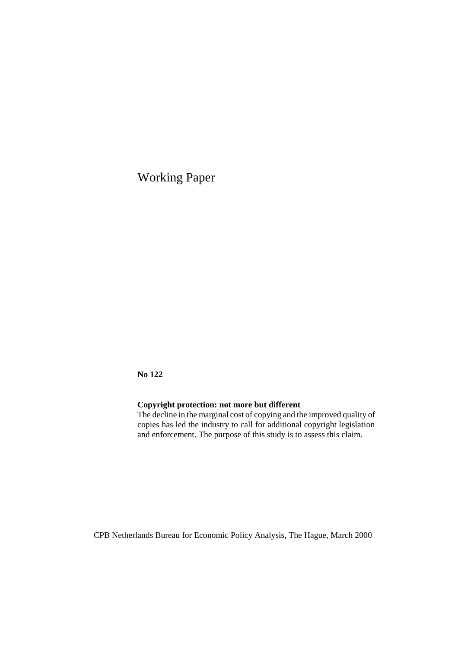Working Paper

**No 122** 

# **Copyright protection: not more but different**

The decline in the marginal cost of copying and the improved quality of copies has led the industry to call for additional copyright legislation and enforcement. The purpose of this study is to assess this claim.

CPB Netherlands Bureau for Economic Policy Analysis, The Hague, March 2000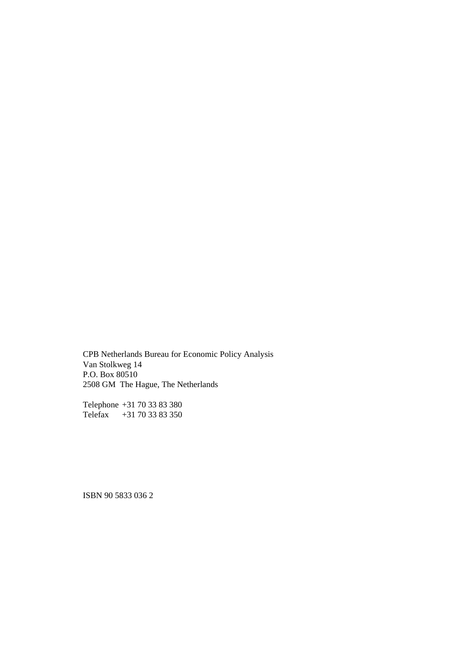CPB Netherlands Bureau for Economic Policy Analysis Van Stolkweg 14 P.O. Box 80510 2508 GM The Hague, The Netherlands

Telephone +31 70 33 83 380 Telefax +31 70 33 83 350

ISBN 90 5833 036 2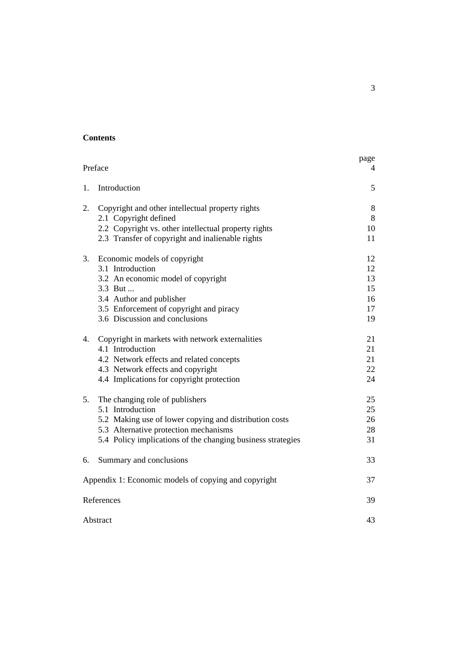#### **Contents**

| Preface  | page<br>4                                                                                                                                                                                                             |                                        |
|----------|-----------------------------------------------------------------------------------------------------------------------------------------------------------------------------------------------------------------------|----------------------------------------|
| 1.       | Introduction                                                                                                                                                                                                          | 5                                      |
| 2.       | Copyright and other intellectual property rights<br>2.1 Copyright defined<br>2.2 Copyright vs. other intellectual property rights                                                                                     | 8<br>8<br>10                           |
|          | 2.3 Transfer of copyright and inalienable rights                                                                                                                                                                      | 11                                     |
| 3.       | Economic models of copyright<br>3.1 Introduction<br>3.2 An economic model of copyright<br>3.3 But<br>3.4 Author and publisher<br>3.5 Enforcement of copyright and piracy<br>3.6 Discussion and conclusions            | 12<br>12<br>13<br>15<br>16<br>17<br>19 |
| 4.       | Copyright in markets with network externalities<br>4.1 Introduction<br>4.2 Network effects and related concepts<br>4.3 Network effects and copyright<br>4.4 Implications for copyright protection                     | 21<br>21<br>21<br>22<br>24             |
| 5.       | The changing role of publishers<br>5.1 Introduction<br>5.2 Making use of lower copying and distribution costs<br>5.3 Alternative protection mechanisms<br>5.4 Policy implications of the changing business strategies | 25<br>25<br>26<br>28<br>31             |
| 6.       | Summary and conclusions                                                                                                                                                                                               | 33                                     |
|          | Appendix 1: Economic models of copying and copyright                                                                                                                                                                  | 37                                     |
|          | References                                                                                                                                                                                                            | 39                                     |
| Abstract | 43                                                                                                                                                                                                                    |                                        |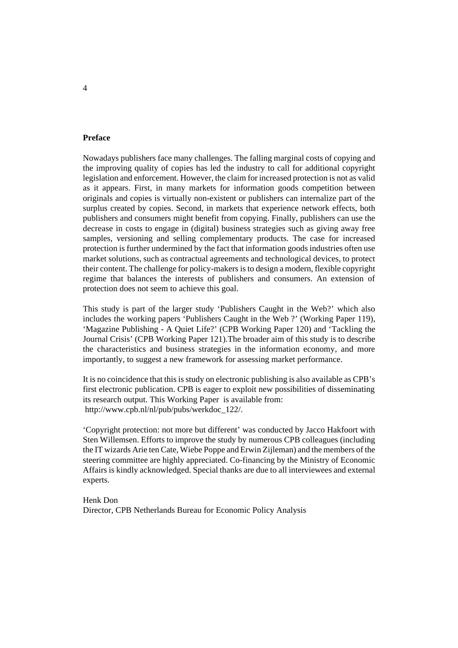#### **Preface**

Nowadays publishers face many challenges. The falling marginal costs of copying and the improving quality of copies has led the industry to call for additional copyright legislation and enforcement. However, the claim for increased protection is not as valid as it appears. First, in many markets for information goods competition between originals and copies is virtually non-existent or publishers can internalize part of the surplus created by copies. Second, in markets that experience network effects, both publishers and consumers might benefit from copying. Finally, publishers can use the decrease in costs to engage in (digital) business strategies such as giving away free samples, versioning and selling complementary products. The case for increased protection is further undermined by the fact that information goods industries often use market solutions, such as contractual agreements and technological devices, to protect their content. The challenge for policy-makers is to design a modern, flexible copyright regime that balances the interests of publishers and consumers. An extension of protection does not seem to achieve this goal.

This study is part of the larger study 'Publishers Caught in the Web?' which also includes the working papers 'Publishers Caught in the Web ?' (Working Paper 119), 'Magazine Publishing - A Quiet Life?' (CPB Working Paper 120) and 'Tackling the Journal Crisis' (CPB Working Paper 121).The broader aim of this study is to describe the characteristics and business strategies in the information economy, and more importantly, to suggest a new framework for assessing market performance.

It is no coincidence that this is study on electronic publishing is also available as CPB's first electronic publication. CPB is eager to exploit new possibilities of disseminating its research output. This Working Paper is available from: http://www.cpb.nl/nl/pub/pubs/werkdoc\_122/.

'Copyright protection: not more but different' was conducted by Jacco Hakfoort with Sten Willemsen. Efforts to improve the study by numerous CPB colleagues (including the IT wizards Arie ten Cate, Wiebe Poppe and Erwin Zijleman) and the members of the steering committee are highly appreciated. Co-financing by the Ministry of Economic Affairs is kindly acknowledged. Special thanks are due to all interviewees and external experts.

Henk Don Director, CPB Netherlands Bureau for Economic Policy Analysis

#### 4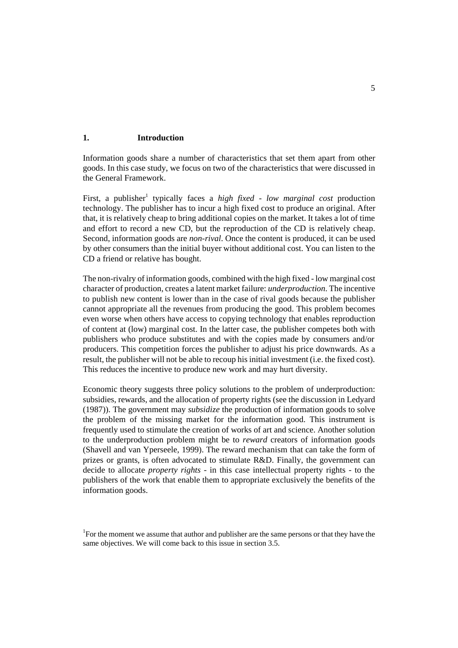#### **1. Introduction**

Information goods share a number of characteristics that set them apart from other goods. In this case study, we focus on two of the characteristics that were discussed in the General Framework.

First, a publisher<sup>1</sup> typically faces a *high fixed - low marginal cost* production technology. The publisher has to incur a high fixed cost to produce an original. After that, it is relatively cheap to bring additional copies on the market. It takes a lot of time and effort to record a new CD, but the reproduction of the CD is relatively cheap. Second, information goods are *non-rival*. Once the content is produced, it can be used by other consumers than the initial buyer without additional cost. You can listen to the CD a friend or relative has bought.

The non-rivalry of information goods, combined with the high fixed - low marginal cost character of production, creates a latent market failure: *underproduction*. The incentive to publish new content is lower than in the case of rival goods because the publisher cannot appropriate all the revenues from producing the good. This problem becomes even worse when others have access to copying technology that enables reproduction of content at (low) marginal cost. In the latter case, the publisher competes both with publishers who produce substitutes and with the copies made by consumers and/or producers. This competition forces the publisher to adjust his price downwards. As a result, the publisher will not be able to recoup his initial investment (i.e. the fixed cost). This reduces the incentive to produce new work and may hurt diversity.

Economic theory suggests three policy solutions to the problem of underproduction: subsidies, rewards, and the allocation of property rights (see the discussion in Ledyard (1987)). The government may *subsidize* the production of information goods to solve the problem of the missing market for the information good. This instrument is frequently used to stimulate the creation of works of art and science. Another solution to the underproduction problem might be to *reward* creators of information goods (Shavell and van Yperseele, 1999). The reward mechanism that can take the form of prizes or grants, is often advocated to stimulate R&D. Finally, the government can decide to allocate *property rights* - in this case intellectual property rights - to the publishers of the work that enable them to appropriate exclusively the benefits of the information goods.

<sup>&</sup>lt;sup>1</sup>For the moment we assume that author and publisher are the same persons or that they have the same objectives. We will come back to this issue in section 3.5.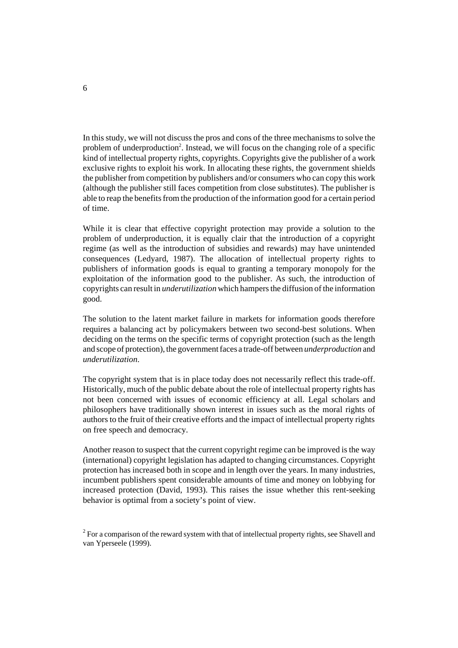In this study, we will not discuss the pros and cons of the three mechanisms to solve the problem of underproduction<sup>2</sup>. Instead, we will focus on the changing role of a specific kind of intellectual property rights, copyrights. Copyrights give the publisher of a work exclusive rights to exploit his work. In allocating these rights, the government shields the publisher from competition by publishers and/or consumers who can copy this work (although the publisher still faces competition from close substitutes). The publisher is able to reap the benefits from the production of the information good for a certain period of time.

While it is clear that effective copyright protection may provide a solution to the problem of underproduction, it is equally clair that the introduction of a copyright regime (as well as the introduction of subsidies and rewards) may have unintended consequences (Ledyard, 1987). The allocation of intellectual property rights to publishers of information goods is equal to granting a temporary monopoly for the exploitation of the information good to the publisher. As such, the introduction of copyrights can result in *underutilization* which hampers the diffusion of the information good.

The solution to the latent market failure in markets for information goods therefore requires a balancing act by policymakers between two second-best solutions. When deciding on the terms on the specific terms of copyright protection (such as the length and scope of protection), the government faces a trade-off between *underproduction* and *underutilization*.

The copyright system that is in place today does not necessarily reflect this trade-off. Historically, much of the public debate about the role of intellectual property rights has not been concerned with issues of economic efficiency at all. Legal scholars and philosophers have traditionally shown interest in issues such as the moral rights of authors to the fruit of their creative efforts and the impact of intellectual property rights on free speech and democracy.

Another reason to suspect that the current copyright regime can be improved is the way (international) copyright legislation has adapted to changing circumstances. Copyright protection has increased both in scope and in length over the years. In many industries, incumbent publishers spent considerable amounts of time and money on lobbying for increased protection (David, 1993). This raises the issue whether this rent-seeking behavior is optimal from a society's point of view.

 $2^2$  For a comparison of the reward system with that of intellectual property rights, see Shavell and van Yperseele (1999).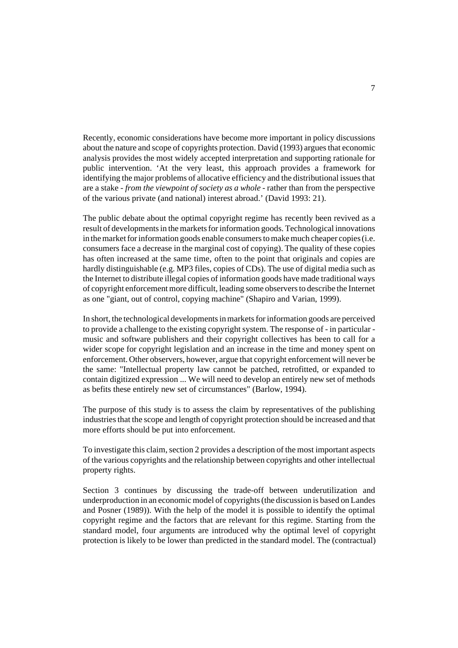Recently, economic considerations have become more important in policy discussions about the nature and scope of copyrights protection. David (1993) argues that economic analysis provides the most widely accepted interpretation and supporting rationale for public intervention. 'At the very least, this approach provides a framework for identifying the major problems of allocative efficiency and the distributional issues that are a stake - *from the viewpoint of society as a whole* - rather than from the perspective of the various private (and national) interest abroad.' (David 1993: 21).

The public debate about the optimal copyright regime has recently been revived as a result of developments in the markets for information goods. Technological innovations in the market for information goods enable consumers to make much cheaper copies (i.e. consumers face a decrease in the marginal cost of copying). The quality of these copies has often increased at the same time, often to the point that originals and copies are hardly distinguishable (e.g. MP3 files, copies of CDs). The use of digital media such as the Internet to distribute illegal copies of information goods have made traditional ways of copyright enforcement more difficult, leading some observers to describe the Internet as one "giant, out of control, copying machine" (Shapiro and Varian, 1999).

In short, the technological developments in markets for information goods are perceived to provide a challenge to the existing copyright system. The response of - in particular music and software publishers and their copyright collectives has been to call for a wider scope for copyright legislation and an increase in the time and money spent on enforcement. Other observers, however, argue that copyright enforcement will never be the same: "Intellectual property law cannot be patched, retrofitted, or expanded to contain digitized expression ... We will need to develop an entirely new set of methods as befits these entirely new set of circumstances" (Barlow, 1994).

The purpose of this study is to assess the claim by representatives of the publishing industries that the scope and length of copyright protection should be increased and that more efforts should be put into enforcement.

To investigate this claim, section 2 provides a description of the most important aspects of the various copyrights and the relationship between copyrights and other intellectual property rights.

Section 3 continues by discussing the trade-off between underutilization and underproduction in an economic model of copyrights (the discussion is based on Landes and Posner (1989)). With the help of the model it is possible to identify the optimal copyright regime and the factors that are relevant for this regime. Starting from the standard model, four arguments are introduced why the optimal level of copyright protection is likely to be lower than predicted in the standard model. The (contractual)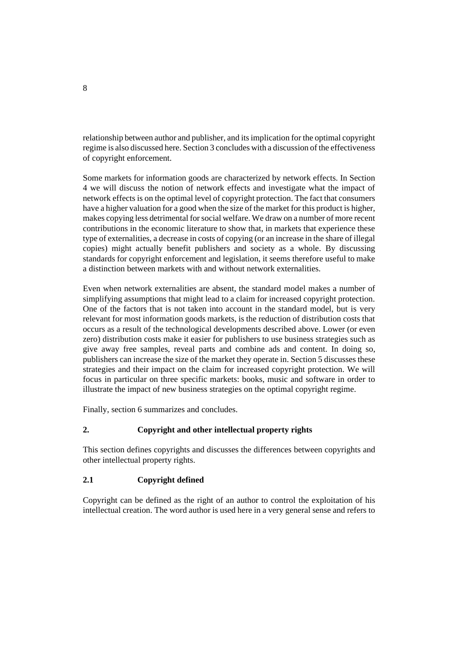relationship between author and publisher, and its implication for the optimal copyright regime is also discussed here. Section 3 concludes with a discussion of the effectiveness of copyright enforcement.

Some markets for information goods are characterized by network effects. In Section 4 we will discuss the notion of network effects and investigate what the impact of network effects is on the optimal level of copyright protection. The fact that consumers have a higher valuation for a good when the size of the market for this product is higher, makes copying less detrimental for social welfare. We draw on a number of more recent contributions in the economic literature to show that, in markets that experience these type of externalities, a decrease in costs of copying (or an increase in the share of illegal copies) might actually benefit publishers and society as a whole. By discussing standards for copyright enforcement and legislation, it seems therefore useful to make a distinction between markets with and without network externalities.

Even when network externalities are absent, the standard model makes a number of simplifying assumptions that might lead to a claim for increased copyright protection. One of the factors that is not taken into account in the standard model, but is very relevant for most information goods markets, is the reduction of distribution costs that occurs as a result of the technological developments described above. Lower (or even zero) distribution costs make it easier for publishers to use business strategies such as give away free samples, reveal parts and combine ads and content. In doing so, publishers can increase the size of the market they operate in. Section 5 discusses these strategies and their impact on the claim for increased copyright protection. We will focus in particular on three specific markets: books, music and software in order to illustrate the impact of new business strategies on the optimal copyright regime.

Finally, section 6 summarizes and concludes.

# **2. Copyright and other intellectual property rights**

This section defines copyrights and discusses the differences between copyrights and other intellectual property rights.

# **2.1 Copyright defined**

Copyright can be defined as the right of an author to control the exploitation of his intellectual creation. The word author is used here in a very general sense and refers to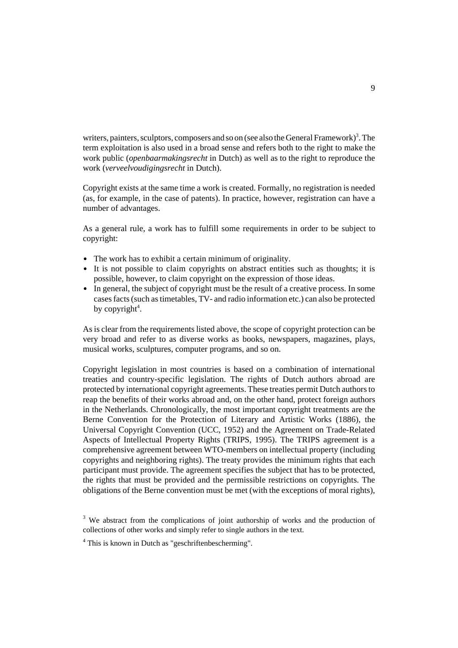writers, painters, sculptors, composers and so on (see also the General Framework)<sup>3</sup>. The term exploitation is also used in a broad sense and refers both to the right to make the work public (*openbaarmakingsrecht* in Dutch) as well as to the right to reproduce the work (*verveelvoudigingsrecht* in Dutch).

Copyright exists at the same time a work is created. Formally, no registration is needed (as, for example, in the case of patents). In practice, however, registration can have a number of advantages.

As a general rule, a work has to fulfill some requirements in order to be subject to copyright:

- The work has to exhibit a certain minimum of originality.
- It is not possible to claim copyrights on abstract entities such as thoughts; it is possible, however, to claim copyright on the expression of those ideas.
- In general, the subject of copyright must be the result of a creative process. In some cases facts (such as timetables, TV- and radio information etc.) can also be protected by copyright<sup>4</sup>.

As is clear from the requirements listed above, the scope of copyright protection can be very broad and refer to as diverse works as books, newspapers, magazines, plays, musical works, sculptures, computer programs, and so on.

Copyright legislation in most countries is based on a combination of international treaties and country-specific legislation. The rights of Dutch authors abroad are protected by international copyright agreements. These treaties permit Dutch authors to reap the benefits of their works abroad and, on the other hand, protect foreign authors in the Netherlands. Chronologically, the most important copyright treatments are the Berne Convention for the Protection of Literary and Artistic Works (1886), the Universal Copyright Convention (UCC, 1952) and the Agreement on Trade-Related Aspects of Intellectual Property Rights (TRIPS, 1995). The TRIPS agreement is a comprehensive agreement between WTO-members on intellectual property (including copyrights and neighboring rights). The treaty provides the minimum rights that each participant must provide. The agreement specifies the subject that has to be protected, the rights that must be provided and the permissible restrictions on copyrights. The obligations of the Berne convention must be met (with the exceptions of moral rights),

<sup>&</sup>lt;sup>3</sup> We abstract from the complications of joint authorship of works and the production of collections of other works and simply refer to single authors in the text.

<sup>&</sup>lt;sup>4</sup> This is known in Dutch as "geschriftenbescherming".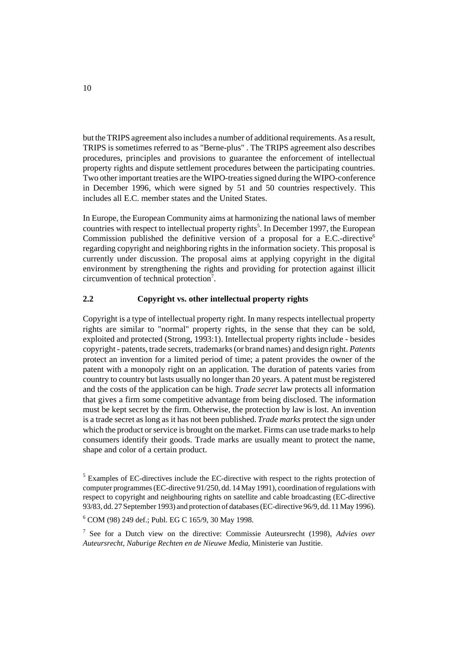but the TRIPS agreement also includes a number of additional requirements. As a result, TRIPS is sometimes referred to as "Berne-plus" . The TRIPS agreement also describes procedures, principles and provisions to guarantee the enforcement of intellectual property rights and dispute settlement procedures between the participating countries. Two other important treaties are the WIPO-treaties signed during the WIPO-conference in December 1996, which were signed by 51 and 50 countries respectively. This includes all E.C. member states and the United States.

In Europe, the European Community aims at harmonizing the national laws of member countries with respect to intellectual property rights<sup>5</sup>. In December 1997, the European Commission published the definitive version of a proposal for a E.C.-directive<sup>6</sup> regarding copyright and neighboring rights in the information society. This proposal is currently under discussion. The proposal aims at applying copyright in the digital environment by strengthening the rights and providing for protection against illicit circumvention of technical protection<sup>7</sup>.

# **2.2 Copyright vs. other intellectual property rights**

Copyright is a type of intellectual property right. In many respects intellectual property rights are similar to "normal" property rights, in the sense that they can be sold, exploited and protected (Strong, 1993:1). Intellectual property rights include - besides copyright - patents, trade secrets, trademarks (or brand names) and design right. *Patents* protect an invention for a limited period of time; a patent provides the owner of the patent with a monopoly right on an application. The duration of patents varies from country to country but lasts usually no longer than 20 years. A patent must be registered and the costs of the application can be high. *Trade secret* law protects all information that gives a firm some competitive advantage from being disclosed. The information must be kept secret by the firm. Otherwise, the protection by law is lost. An invention is a trade secret as long as it has not been published. *Trade marks* protect the sign under which the product or service is brought on the market. Firms can use trade marks to help consumers identify their goods. Trade marks are usually meant to protect the name, shape and color of a certain product.

<sup>&</sup>lt;sup>5</sup> Examples of EC-directives include the EC-directive with respect to the rights protection of computer programmes (EC-directive 91/250, dd. 14 May 1991), coordination of regulations with respect to copyright and neighbouring rights on satellite and cable broadcasting (EC-directive 93/83, dd. 27 September 1993) and protection of databases (EC-directive 96/9, dd. 11 May 1996).

<sup>6</sup> COM (98) 249 def.; Publ. EG C 165/9, 30 May 1998.

<sup>7</sup> See for a Dutch view on the directive: Commissie Auteursrecht (1998), *Advies over Auteursrecht, Naburige Rechten en de Nieuwe Media*, Ministerie van Justitie.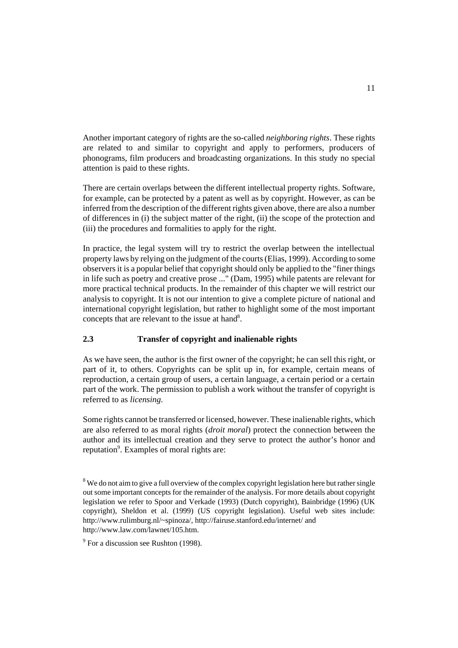Another important category of rights are the so-called *neighboring rights*. These rights are related to and similar to copyright and apply to performers, producers of phonograms, film producers and broadcasting organizations. In this study no special attention is paid to these rights.

There are certain overlaps between the different intellectual property rights. Software, for example, can be protected by a patent as well as by copyright. However, as can be inferred from the description of the different rights given above, there are also a number of differences in (i) the subject matter of the right, (ii) the scope of the protection and (iii) the procedures and formalities to apply for the right.

In practice, the legal system will try to restrict the overlap between the intellectual property laws by relying on the judgment of the courts (Elias, 1999). According to some observers it is a popular belief that copyright should only be applied to the "finer things in life such as poetry and creative prose ..." (Dam, 1995) while patents are relevant for more practical technical products. In the remainder of this chapter we will restrict our analysis to copyright. It is not our intention to give a complete picture of national and international copyright legislation, but rather to highlight some of the most important concepts that are relevant to the issue at hand<sup>8</sup>.

# **2.3 Transfer of copyright and inalienable rights**

As we have seen, the author is the first owner of the copyright; he can sell this right, or part of it, to others. Copyrights can be split up in, for example, certain means of reproduction, a certain group of users, a certain language, a certain period or a certain part of the work. The permission to publish a work without the transfer of copyright is referred to as *licensing*.

Some rights cannot be transferred or licensed, however. These inalienable rights, which are also referred to as moral rights (*droit moral*) protect the connection between the author and its intellectual creation and they serve to protect the author's honor and reputation<sup>9</sup>. Examples of moral rights are:

 $8$ We do not aim to give a full overview of the complex copyright legislation here but rather single out some important concepts for the remainder of the analysis. For more details about copyright legislation we refer to Spoor and Verkade (1993) (Dutch copyright), Bainbridge (1996) (UK copyright), Sheldon et al. (1999) (US copyright legislation). Useful web sites include: http://www.rulimburg.nl/~spinoza/, http://fairuse.stanford.edu/internet/ and http://www.law.com/lawnet/105.htm.

 $9^9$  For a discussion see Rushton (1998).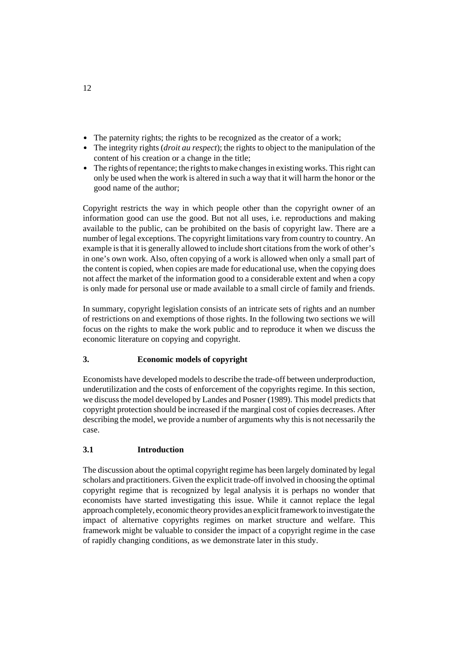- The paternity rights; the rights to be recognized as the creator of a work;
- The integrity rights, the rights to be recognized as the ered of a work,<br>• The integrity rights (*droit au respect*); the rights to object to the manipulation of the content of his creation or a change in the title;
- The rights of repentance; the rights to make changes in existing works. This right can only be used when the work is altered in such a way that it will harm the honor or the good name of the author;

Copyright restricts the way in which people other than the copyright owner of an information good can use the good. But not all uses, i.e. reproductions and making available to the public, can be prohibited on the basis of copyright law. There are a number of legal exceptions. The copyright limitations vary from country to country. An example is that it is generally allowed to include short citations from the work of other's in one's own work. Also, often copying of a work is allowed when only a small part of the content is copied, when copies are made for educational use, when the copying does not affect the market of the information good to a considerable extent and when a copy is only made for personal use or made available to a small circle of family and friends.

In summary, copyright legislation consists of an intricate sets of rights and an number of restrictions on and exemptions of those rights. In the following two sections we will focus on the rights to make the work public and to reproduce it when we discuss the economic literature on copying and copyright.

# **3. Economic models of copyright**

Economists have developed models to describe the trade-off between underproduction, underutilization and the costs of enforcement of the copyrights regime. In this section, we discuss the model developed by Landes and Posner (1989). This model predicts that copyright protection should be increased if the marginal cost of copies decreases. After describing the model, we provide a number of arguments why this is not necessarily the case.

# **3.1 Introduction**

The discussion about the optimal copyright regime has been largely dominated by legal scholars and practitioners. Given the explicit trade-off involved in choosing the optimal copyright regime that is recognized by legal analysis it is perhaps no wonder that economists have started investigating this issue. While it cannot replace the legal approach completely, economic theory provides an explicit framework to investigate the impact of alternative copyrights regimes on market structure and welfare. This framework might be valuable to consider the impact of a copyright regime in the case of rapidly changing conditions, as we demonstrate later in this study.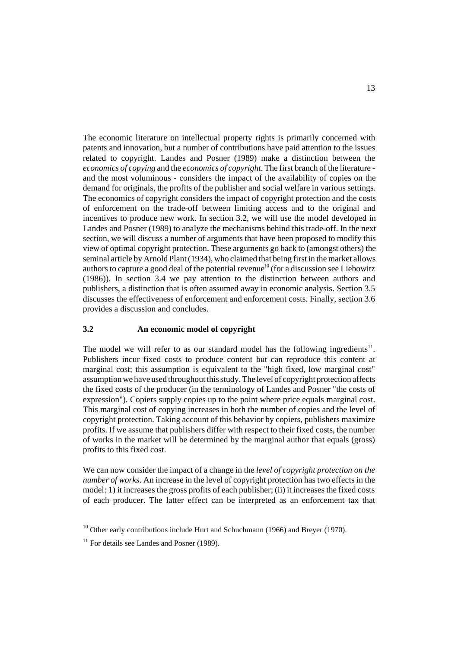The economic literature on intellectual property rights is primarily concerned with patents and innovation, but a number of contributions have paid attention to the issues related to copyright. Landes and Posner (1989) make a distinction between the *economics of copying* and the *economics of copyright*. The first branch of the literature and the most voluminous - considers the impact of the availability of copies on the demand for originals, the profits of the publisher and social welfare in various settings. The economics of copyright considers the impact of copyright protection and the costs of enforcement on the trade-off between limiting access and to the original and incentives to produce new work. In section 3.2, we will use the model developed in Landes and Posner (1989) to analyze the mechanisms behind this trade-off. In the next section, we will discuss a number of arguments that have been proposed to modify this view of optimal copyright protection. These arguments go back to (amongst others) the seminal article by Arnold Plant (1934), who claimed that being first in the market allows authors to capture a good deal of the potential revenue<sup>10</sup> (for a discussion see Liebowitz (1986)). In section 3.4 we pay attention to the distinction between authors and publishers, a distinction that is often assumed away in economic analysis. Section 3.5 discusses the effectiveness of enforcement and enforcement costs. Finally, section 3.6 provides a discussion and concludes.

#### **3.2 An economic model of copyright**

The model we will refer to as our standard model has the following ingredients<sup>11</sup>. Publishers incur fixed costs to produce content but can reproduce this content at marginal cost; this assumption is equivalent to the "high fixed, low marginal cost" assumption we have used throughout this study. The level of copyright protection affects the fixed costs of the producer (in the terminology of Landes and Posner "the costs of expression"). Copiers supply copies up to the point where price equals marginal cost. This marginal cost of copying increases in both the number of copies and the level of copyright protection. Taking account of this behavior by copiers, publishers maximize profits. If we assume that publishers differ with respect to their fixed costs, the number of works in the market will be determined by the marginal author that equals (gross) profits to this fixed cost.

We can now consider the impact of a change in the *level of copyright protection on the number of works*. An increase in the level of copyright protection has two effects in the model: 1) it increases the gross profits of each publisher; (ii) it increases the fixed costs of each producer. The latter effect can be interpreted as an enforcement tax that

 $10$  Other early contributions include Hurt and Schuchmann (1966) and Brever (1970).

 $11$  For details see Landes and Posner (1989).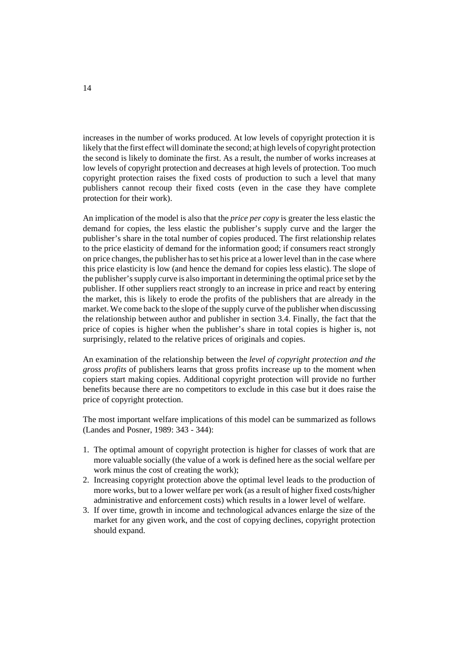increases in the number of works produced. At low levels of copyright protection it is likely that the first effect will dominate the second; at high levels of copyright protection the second is likely to dominate the first. As a result, the number of works increases at low levels of copyright protection and decreases at high levels of protection. Too much copyright protection raises the fixed costs of production to such a level that many publishers cannot recoup their fixed costs (even in the case they have complete protection for their work).

An implication of the model is also that the *price per copy* is greater the less elastic the demand for copies, the less elastic the publisher's supply curve and the larger the publisher's share in the total number of copies produced. The first relationship relates to the price elasticity of demand for the information good; if consumers react strongly on price changes, the publisher has to set his price at a lower level than in the case where this price elasticity is low (and hence the demand for copies less elastic). The slope of the publisher's supply curve is also important in determining the optimal price set by the publisher. If other suppliers react strongly to an increase in price and react by entering the market, this is likely to erode the profits of the publishers that are already in the market. We come back to the slope of the supply curve of the publisher when discussing the relationship between author and publisher in section 3.4. Finally, the fact that the price of copies is higher when the publisher's share in total copies is higher is, not surprisingly, related to the relative prices of originals and copies.

An examination of the relationship between the *level of copyright protection and the gross profits* of publishers learns that gross profits increase up to the moment when copiers start making copies. Additional copyright protection will provide no further benefits because there are no competitors to exclude in this case but it does raise the price of copyright protection.

The most important welfare implications of this model can be summarized as follows (Landes and Posner, 1989: 343 - 344):

- 1. The optimal amount of copyright protection is higher for classes of work that are more valuable socially (the value of a work is defined here as the social welfare per work minus the cost of creating the work);
- 2. Increasing copyright protection above the optimal level leads to the production of more works, but to a lower welfare per work (as a result of higher fixed costs/higher administrative and enforcement costs) which results in a lower level of welfare.
- 3. If over time, growth in income and technological advances enlarge the size of the market for any given work, and the cost of copying declines, copyright protection should expand.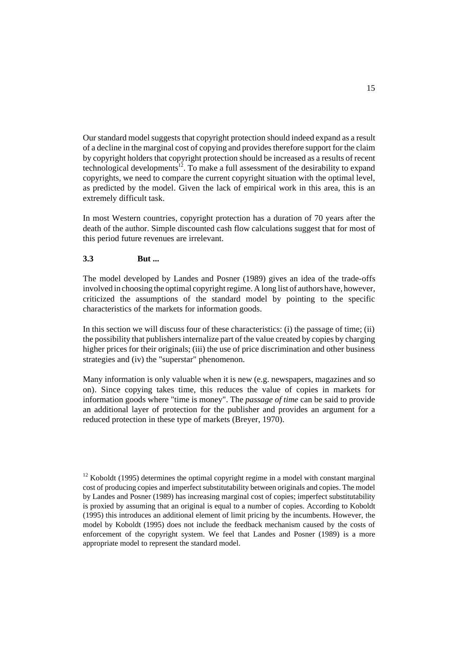Our standard model suggests that copyright protection should indeed expand as a result of a decline in the marginal cost of copying and provides therefore support for the claim by copyright holders that copyright protection should be increased as a results of recent technological developments<sup>12</sup>. To make a full assessment of the desirability to expand copyrights, we need to compare the current copyright situation with the optimal level, as predicted by the model. Given the lack of empirical work in this area, this is an extremely difficult task.

In most Western countries, copyright protection has a duration of 70 years after the death of the author. Simple discounted cash flow calculations suggest that for most of this period future revenues are irrelevant.

# **3.3 But ...**

The model developed by Landes and Posner (1989) gives an idea of the trade-offs involved in choosing the optimal copyright regime. A long list of authors have, however, criticized the assumptions of the standard model by pointing to the specific characteristics of the markets for information goods.

In this section we will discuss four of these characteristics: (i) the passage of time; (ii) the possibility that publishers internalize part of the value created by copies by charging higher prices for their originals; (iii) the use of price discrimination and other business strategies and (iv) the "superstar" phenomenon.

Many information is only valuable when it is new (e.g. newspapers, magazines and so on). Since copying takes time, this reduces the value of copies in markets for information goods where "time is money". The *passage of time* can be said to provide an additional layer of protection for the publisher and provides an argument for a reduced protection in these type of markets (Breyer, 1970).

 $12$  Koboldt (1995) determines the optimal copyright regime in a model with constant marginal cost of producing copies and imperfect substitutability between originals and copies. The model by Landes and Posner (1989) has increasing marginal cost of copies; imperfect substitutability is proxied by assuming that an original is equal to a number of copies. According to Koboldt (1995) this introduces an additional element of limit pricing by the incumbents. However, the model by Koboldt (1995) does not include the feedback mechanism caused by the costs of enforcement of the copyright system. We feel that Landes and Posner (1989) is a more appropriate model to represent the standard model.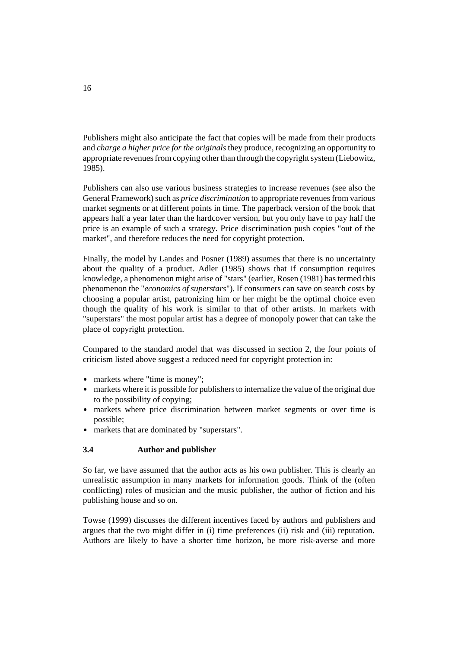Publishers might also anticipate the fact that copies will be made from their products and *charge a higher price for the originals* they produce, recognizing an opportunity to appropriate revenues from copying other than through the copyright system (Liebowitz, 1985).

Publishers can also use various business strategies to increase revenues (see also the General Framework) such as *price discrimination* to appropriate revenues from various market segments or at different points in time. The paperback version of the book that appears half a year later than the hardcover version, but you only have to pay half the price is an example of such a strategy. Price discrimination push copies "out of the market", and therefore reduces the need for copyright protection.

Finally, the model by Landes and Posner (1989) assumes that there is no uncertainty about the quality of a product. Adler (1985) shows that if consumption requires knowledge, a phenomenon might arise of "stars" (earlier, Rosen (1981) has termed this phenomenon the "*economics of superstars*"). If consumers can save on search costs by choosing a popular artist, patronizing him or her might be the optimal choice even though the quality of his work is similar to that of other artists. In markets with "superstars" the most popular artist has a degree of monopoly power that can take the place of copyright protection.

Compared to the standard model that was discussed in section 2, the four points of criticism listed above suggest a reduced need for copyright protection in:

- markets where "time is money";
- markets where the is money, to the possibility of copying;
- markets where price discrimination between market segments or over time is possible;
- markets that are dominated by "superstars".

# **3.4 Author and publisher**

So far, we have assumed that the author acts as his own publisher. This is clearly an unrealistic assumption in many markets for information goods. Think of the (often conflicting) roles of musician and the music publisher, the author of fiction and his publishing house and so on.

Towse (1999) discusses the different incentives faced by authors and publishers and argues that the two might differ in (i) time preferences (ii) risk and (iii) reputation. Authors are likely to have a shorter time horizon, be more risk-averse and more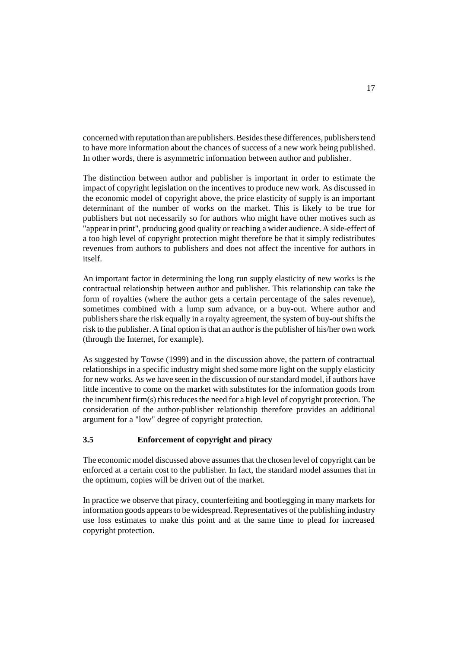concerned with reputation than are publishers. Besides these differences, publishers tend to have more information about the chances of success of a new work being published. In other words, there is asymmetric information between author and publisher.

The distinction between author and publisher is important in order to estimate the impact of copyright legislation on the incentives to produce new work. As discussed in the economic model of copyright above, the price elasticity of supply is an important determinant of the number of works on the market. This is likely to be true for publishers but not necessarily so for authors who might have other motives such as "appear in print", producing good quality or reaching a wider audience. A side-effect of a too high level of copyright protection might therefore be that it simply redistributes revenues from authors to publishers and does not affect the incentive for authors in itself.

An important factor in determining the long run supply elasticity of new works is the contractual relationship between author and publisher. This relationship can take the form of royalties (where the author gets a certain percentage of the sales revenue), sometimes combined with a lump sum advance, or a buy-out. Where author and publishers share the risk equally in a royalty agreement, the system of buy-out shifts the risk to the publisher. A final option is that an author is the publisher of his/her own work (through the Internet, for example).

As suggested by Towse (1999) and in the discussion above, the pattern of contractual relationships in a specific industry might shed some more light on the supply elasticity for new works. As we have seen in the discussion of our standard model, if authors have little incentive to come on the market with substitutes for the information goods from the incumbent firm(s) this reduces the need for a high level of copyright protection. The consideration of the author-publisher relationship therefore provides an additional argument for a "low" degree of copyright protection.

# **3.5 Enforcement of copyright and piracy**

The economic model discussed above assumes that the chosen level of copyright can be enforced at a certain cost to the publisher. In fact, the standard model assumes that in the optimum, copies will be driven out of the market.

In practice we observe that piracy, counterfeiting and bootlegging in many markets for information goods appears to be widespread. Representatives of the publishing industry use loss estimates to make this point and at the same time to plead for increased copyright protection.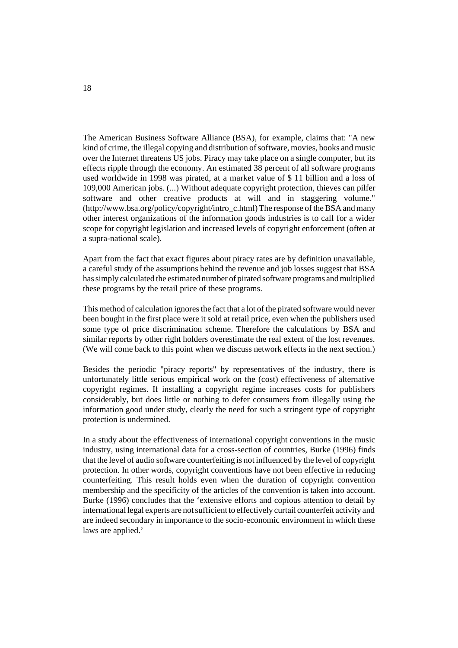The American Business Software Alliance (BSA), for example, claims that: "A new kind of crime, the illegal copying and distribution of software, movies, books and music over the Internet threatens US jobs. Piracy may take place on a single computer, but its effects ripple through the economy. An estimated 38 percent of all software programs used worldwide in 1998 was pirated, at a market value of \$ 11 billion and a loss of 109,000 American jobs. (...) Without adequate copyright protection, thieves can pilfer software and other creative products at will and in staggering volume." (http://www.bsa.org/policy/copyright/intro\_c.html) The response of the BSA and many other interest organizations of the information goods industries is to call for a wider scope for copyright legislation and increased levels of copyright enforcement (often at a supra-national scale).

Apart from the fact that exact figures about piracy rates are by definition unavailable, a careful study of the assumptions behind the revenue and job losses suggest that BSA has simply calculated the estimated number of pirated software programs and multiplied these programs by the retail price of these programs.

This method of calculation ignores the fact that a lot of the pirated software would never been bought in the first place were it sold at retail price, even when the publishers used some type of price discrimination scheme. Therefore the calculations by BSA and similar reports by other right holders overestimate the real extent of the lost revenues. (We will come back to this point when we discuss network effects in the next section.)

Besides the periodic "piracy reports" by representatives of the industry, there is unfortunately little serious empirical work on the (cost) effectiveness of alternative copyright regimes. If installing a copyright regime increases costs for publishers considerably, but does little or nothing to defer consumers from illegally using the information good under study, clearly the need for such a stringent type of copyright protection is undermined.

In a study about the effectiveness of international copyright conventions in the music industry, using international data for a cross-section of countries, Burke (1996) finds that the level of audio software counterfeiting is not influenced by the level of copyright protection. In other words, copyright conventions have not been effective in reducing counterfeiting. This result holds even when the duration of copyright convention membership and the specificity of the articles of the convention is taken into account. Burke (1996) concludes that the 'extensive efforts and copious attention to detail by international legal experts are not sufficient to effectively curtail counterfeit activity and are indeed secondary in importance to the socio-economic environment in which these laws are applied.'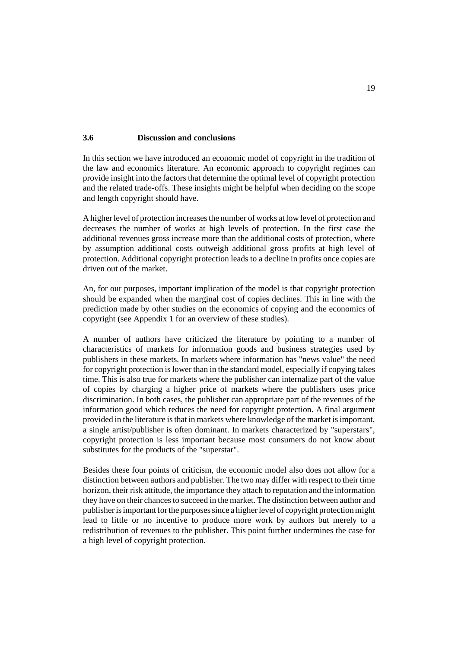#### **3.6 Discussion and conclusions**

In this section we have introduced an economic model of copyright in the tradition of the law and economics literature. An economic approach to copyright regimes can provide insight into the factors that determine the optimal level of copyright protection and the related trade-offs. These insights might be helpful when deciding on the scope and length copyright should have.

A higher level of protection increases the number of works at low level of protection and decreases the number of works at high levels of protection. In the first case the additional revenues gross increase more than the additional costs of protection, where by assumption additional costs outweigh additional gross profits at high level of protection. Additional copyright protection leads to a decline in profits once copies are driven out of the market.

An, for our purposes, important implication of the model is that copyright protection should be expanded when the marginal cost of copies declines. This in line with the prediction made by other studies on the economics of copying and the economics of copyright (see Appendix 1 for an overview of these studies).

A number of authors have criticized the literature by pointing to a number of characteristics of markets for information goods and business strategies used by publishers in these markets. In markets where information has "news value" the need for copyright protection is lower than in the standard model, especially if copying takes time. This is also true for markets where the publisher can internalize part of the value of copies by charging a higher price of markets where the publishers uses price discrimination. In both cases, the publisher can appropriate part of the revenues of the information good which reduces the need for copyright protection. A final argument provided in the literature is that in markets where knowledge of the market is important, a single artist/publisher is often dominant. In markets characterized by "superstars", copyright protection is less important because most consumers do not know about substitutes for the products of the "superstar".

Besides these four points of criticism, the economic model also does not allow for a distinction between authors and publisher. The two may differ with respect to their time horizon, their risk attitude, the importance they attach to reputation and the information they have on their chances to succeed in the market. The distinction between author and publisher is important for the purposes since a higher level of copyright protection might lead to little or no incentive to produce more work by authors but merely to a redistribution of revenues to the publisher. This point further undermines the case for a high level of copyright protection.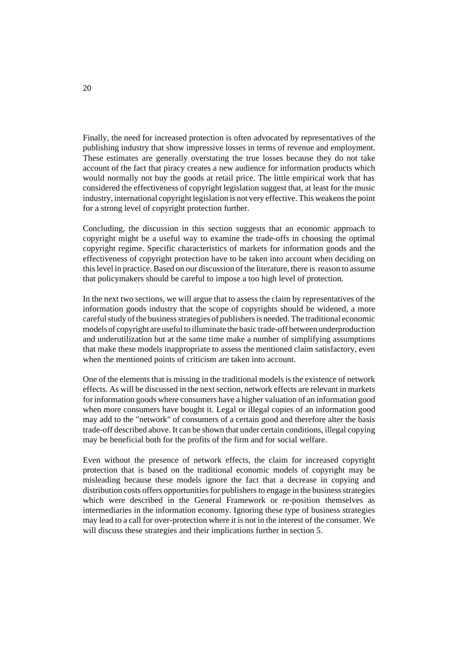Finally, the need for increased protection is often advocated by representatives of the publishing industry that show impressive losses in terms of revenue and employment. These estimates are generally overstating the true losses because they do not take account of the fact that piracy creates a new audience for information products which would normally not buy the goods at retail price. The little empirical work that has considered the effectiveness of copyright legislation suggest that, at least for the music industry, international copyright legislation is not very effective. This weakens the point for a strong level of copyright protection further.

Concluding, the discussion in this section suggests that an economic approach to copyright might be a useful way to examine the trade-offs in choosing the optimal copyright regime. Specific characteristics of markets for information goods and the effectiveness of copyright protection have to be taken into account when deciding on this level in practice. Based on our discussion of the literature, there is reason to assume that policymakers should be careful to impose a too high level of protection.

In the next two sections, we will argue that to assess the claim by representatives of the information goods industry that the scope of copyrights should be widened, a more careful study of the business strategies of publishers is needed. The traditional economic models of copyright are useful to illuminate the basic trade-off between underproduction and underutilization but at the same time make a number of simplifying assumptions that make these models inappropriate to assess the mentioned claim satisfactory, even when the mentioned points of criticism are taken into account.

One of the elements that is missing in the traditional models is the existence of network effects. As will be discussed in the next section, network effects are relevant in markets for information goods where consumers have a higher valuation of an information good when more consumers have bought it. Legal or illegal copies of an information good may add to the "network" of consumers of a certain good and therefore alter the basis trade-off described above. It can be shown that under certain conditions, illegal copying may be beneficial both for the profits of the firm and for social welfare.

Even without the presence of network effects, the claim for increased copyright protection that is based on the traditional economic models of copyright may be misleading because these models ignore the fact that a decrease in copying and distribution costs offers opportunities for publishers to engage in the business strategies which were described in the General Framework or re-position themselves as intermediaries in the information economy. Ignoring these type of business strategies may lead to a call for over-protection where it is not in the interest of the consumer. We will discuss these strategies and their implications further in section 5.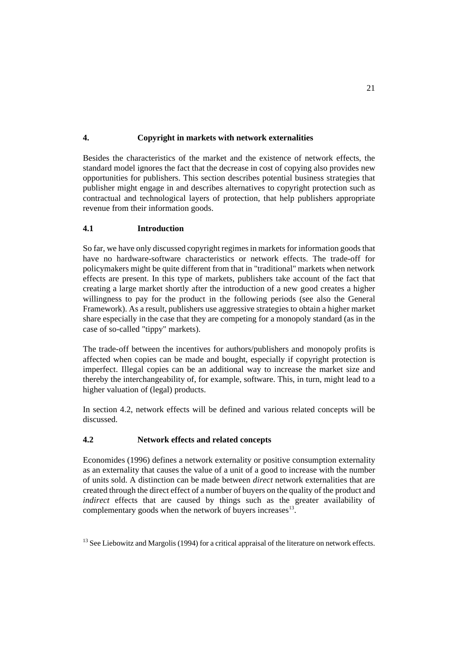# **4. Copyright in markets with network externalities**

Besides the characteristics of the market and the existence of network effects, the standard model ignores the fact that the decrease in cost of copying also provides new opportunities for publishers. This section describes potential business strategies that publisher might engage in and describes alternatives to copyright protection such as contractual and technological layers of protection, that help publishers appropriate revenue from their information goods.

# **4.1 Introduction**

So far, we have only discussed copyright regimes in markets for information goods that have no hardware-software characteristics or network effects. The trade-off for policymakers might be quite different from that in "traditional" markets when network effects are present. In this type of markets, publishers take account of the fact that creating a large market shortly after the introduction of a new good creates a higher willingness to pay for the product in the following periods (see also the General Framework). As a result, publishers use aggressive strategies to obtain a higher market share especially in the case that they are competing for a monopoly standard (as in the case of so-called "tippy" markets).

The trade-off between the incentives for authors/publishers and monopoly profits is affected when copies can be made and bought, especially if copyright protection is imperfect. Illegal copies can be an additional way to increase the market size and thereby the interchangeability of, for example, software. This, in turn, might lead to a higher valuation of (legal) products.

In section 4.2, network effects will be defined and various related concepts will be discussed.

# **4.2 Network effects and related concepts**

Economides (1996) defines a network externality or positive consumption externality as an externality that causes the value of a unit of a good to increase with the number of units sold. A distinction can be made between *direct* network externalities that are created through the direct effect of a number of buyers on the quality of the product and *indirect* effects that are caused by things such as the greater availability of complementary goods when the network of buyers increases $^{13}$ .

 $13$  See Liebowitz and Margolis (1994) for a critical appraisal of the literature on network effects.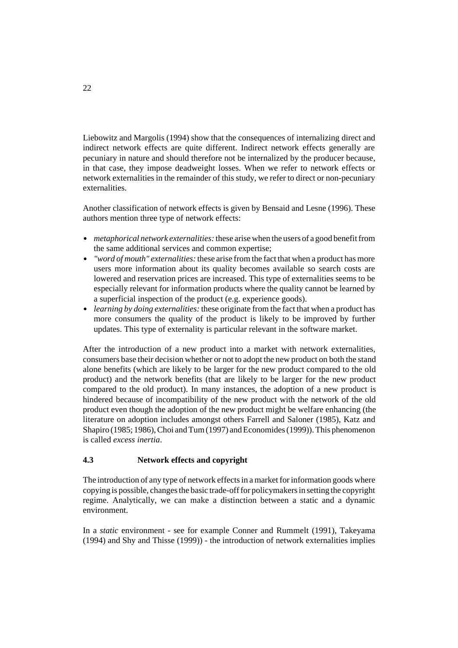Liebowitz and Margolis (1994) show that the consequences of internalizing direct and indirect network effects are quite different. Indirect network effects generally are pecuniary in nature and should therefore not be internalized by the producer because, in that case, they impose deadweight losses. When we refer to network effects or network externalities in the remainder of this study, we refer to direct or non-pecuniary externalities.

Another classification of network effects is given by Bensaid and Lesne (1996). These authors mention three type of network effects:

- *metaphorical network externalities:* these arise when the users of a good benefit from the same additional services and common expertise;
- *"word of mouth" externalities:* these arise from the fact that when a product has more users more information about its quality becomes available so search costs are lowered and reservation prices are increased. This type of externalities seems to be especially relevant for information products where the quality cannot be learned by a superficial inspection of the product (e.g. experience goods).
- *learning by doing externalities:* these originate from the fact that when a product has more consumers the quality of the product is likely to be improved by further updates. This type of externality is particular relevant in the software market.

After the introduction of a new product into a market with network externalities, consumers base their decision whether or not to adopt the new product on both the stand alone benefits (which are likely to be larger for the new product compared to the old product) and the network benefits (that are likely to be larger for the new product compared to the old product). In many instances, the adoption of a new product is hindered because of incompatibility of the new product with the network of the old product even though the adoption of the new product might be welfare enhancing (the literature on adoption includes amongst others Farrell and Saloner (1985), Katz and Shapiro (1985; 1986), Choi and Tum (1997) and Economides (1999)). This phenomenon is called *excess inertia*.

# **4.3 Network effects and copyright**

The introduction of any type of network effects in a market for information goods where copying is possible, changes the basic trade-off for policymakers in setting the copyright regime. Analytically, we can make a distinction between a static and a dynamic environment.

In a *static* environment - see for example Conner and Rummelt (1991), Takeyama (1994) and Shy and Thisse (1999)) - the introduction of network externalities implies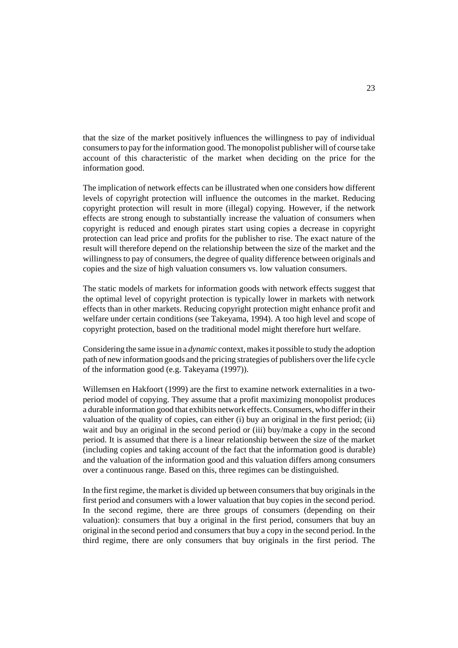that the size of the market positively influences the willingness to pay of individual consumers to pay for the information good. The monopolist publisher will of course take account of this characteristic of the market when deciding on the price for the information good.

The implication of network effects can be illustrated when one considers how different levels of copyright protection will influence the outcomes in the market. Reducing copyright protection will result in more (illegal) copying. However, if the network effects are strong enough to substantially increase the valuation of consumers when copyright is reduced and enough pirates start using copies a decrease in copyright protection can lead price and profits for the publisher to rise. The exact nature of the result will therefore depend on the relationship between the size of the market and the willingness to pay of consumers, the degree of quality difference between originals and copies and the size of high valuation consumers vs. low valuation consumers.

The static models of markets for information goods with network effects suggest that the optimal level of copyright protection is typically lower in markets with network effects than in other markets. Reducing copyright protection might enhance profit and welfare under certain conditions (see Takeyama, 1994). A too high level and scope of copyright protection, based on the traditional model might therefore hurt welfare.

Considering the same issue in a *dynamic* context, makes it possible to study the adoption path of new information goods and the pricing strategies of publishers over the life cycle of the information good (e.g. Takeyama (1997)).

Willemsen en Hakfoort (1999) are the first to examine network externalities in a twoperiod model of copying. They assume that a profit maximizing monopolist produces a durable information good that exhibits network effects. Consumers, who differ in their valuation of the quality of copies, can either (i) buy an original in the first period; (ii) wait and buy an original in the second period or (iii) buy/make a copy in the second period. It is assumed that there is a linear relationship between the size of the market (including copies and taking account of the fact that the information good is durable) and the valuation of the information good and this valuation differs among consumers over a continuous range. Based on this, three regimes can be distinguished.

In the first regime, the market is divided up between consumers that buy originals in the first period and consumers with a lower valuation that buy copies in the second period. In the second regime, there are three groups of consumers (depending on their valuation): consumers that buy a original in the first period, consumers that buy an original in the second period and consumers that buy a copy in the second period. In the third regime, there are only consumers that buy originals in the first period. The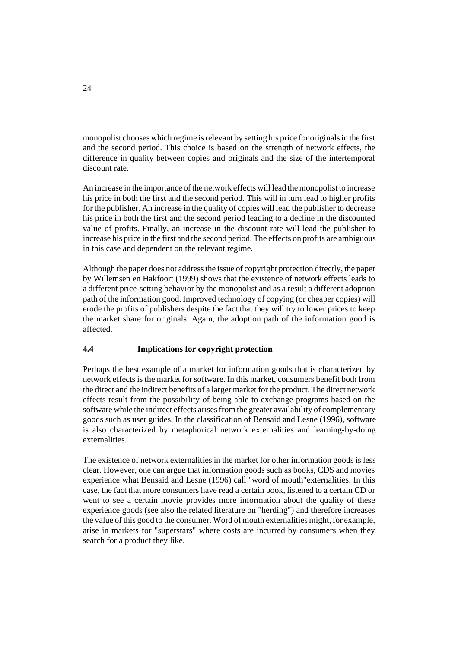monopolist chooses which regime is relevant by setting his price for originals in the first and the second period. This choice is based on the strength of network effects, the difference in quality between copies and originals and the size of the intertemporal discount rate.

An increase in the importance of the network effects will lead the monopolist to increase his price in both the first and the second period. This will in turn lead to higher profits for the publisher. An increase in the quality of copies will lead the publisher to decrease his price in both the first and the second period leading to a decline in the discounted value of profits. Finally, an increase in the discount rate will lead the publisher to increase his price in the first and the second period. The effects on profits are ambiguous in this case and dependent on the relevant regime.

Although the paper does not address the issue of copyright protection directly, the paper by Willemsen en Hakfoort (1999) shows that the existence of network effects leads to a different price-setting behavior by the monopolist and as a result a different adoption path of the information good. Improved technology of copying (or cheaper copies) will erode the profits of publishers despite the fact that they will try to lower prices to keep the market share for originals. Again, the adoption path of the information good is affected.

# **4.4 Implications for copyright protection**

Perhaps the best example of a market for information goods that is characterized by network effects is the market for software. In this market, consumers benefit both from the direct and the indirect benefits of a larger market for the product. The direct network effects result from the possibility of being able to exchange programs based on the software while the indirect effects arises from the greater availability of complementary goods such as user guides. In the classification of Bensaid and Lesne (1996), software is also characterized by metaphorical network externalities and learning-by-doing externalities.

The existence of network externalities in the market for other information goods is less clear. However, one can argue that information goods such as books, CDS and movies experience what Bensaid and Lesne (1996) call "word of mouth"externalities. In this case, the fact that more consumers have read a certain book, listened to a certain CD or went to see a certain movie provides more information about the quality of these experience goods (see also the related literature on "herding") and therefore increases the value of this good to the consumer. Word of mouth externalities might, for example, arise in markets for "superstars" where costs are incurred by consumers when they search for a product they like.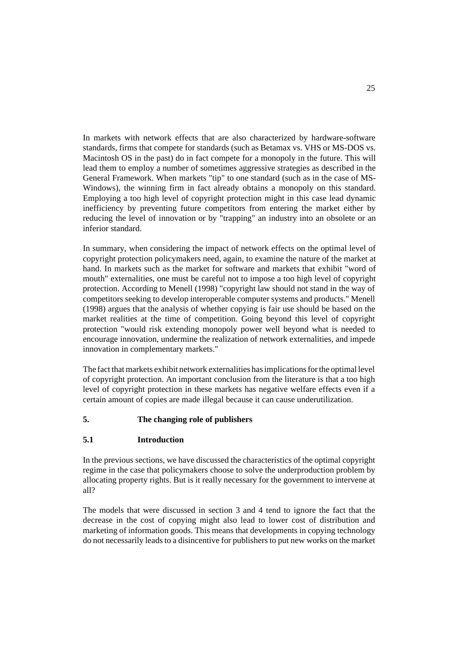In markets with network effects that are also characterized by hardware-software standards, firms that compete for standards (such as Betamax vs. VHS or MS-DOS vs. Macintosh OS in the past) do in fact compete for a monopoly in the future. This will lead them to employ a number of sometimes aggressive strategies as described in the General Framework. When markets "tip" to one standard (such as in the case of MS-Windows), the winning firm in fact already obtains a monopoly on this standard. Employing a too high level of copyright protection might in this case lead dynamic inefficiency by preventing future competitors from entering the market either by reducing the level of innovation or by "trapping" an industry into an obsolete or an inferior standard.

In summary, when considering the impact of network effects on the optimal level of copyright protection policymakers need, again, to examine the nature of the market at hand. In markets such as the market for software and markets that exhibit "word of mouth" externalities, one must be careful not to impose a too high level of copyright protection. According to Menell (1998) "copyright law should not stand in the way of competitors seeking to develop interoperable computer systems and products." Menell (1998) argues that the analysis of whether copying is fair use should be based on the market realities at the time of competition. Going beyond this level of copyright protection "would risk extending monopoly power well beyond what is needed to encourage innovation, undermine the realization of network externalities, and impede innovation in complementary markets."

The fact that markets exhibit network externalities has implications for the optimal level of copyright protection. An important conclusion from the literature is that a too high level of copyright protection in these markets has negative welfare effects even if a certain amount of copies are made illegal because it can cause underutilization.

# **5. The changing role of publishers**

# **5.1 Introduction**

In the previous sections, we have discussed the characteristics of the optimal copyright regime in the case that policymakers choose to solve the underproduction problem by allocating property rights. But is it really necessary for the government to intervene at all?

The models that were discussed in section 3 and 4 tend to ignore the fact that the decrease in the cost of copying might also lead to lower cost of distribution and marketing of information goods. This means that developments in copying technology do not necessarily leads to a disincentive for publishers to put new works on the market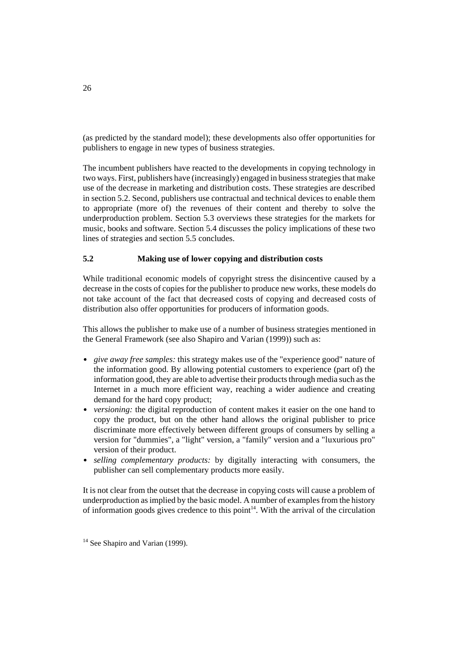(as predicted by the standard model); these developments also offer opportunities for publishers to engage in new types of business strategies.

The incumbent publishers have reacted to the developments in copying technology in two ways. First, publishers have (increasingly) engaged in business strategies that make use of the decrease in marketing and distribution costs. These strategies are described in section 5.2. Second, publishers use contractual and technical devices to enable them to appropriate (more of) the revenues of their content and thereby to solve the underproduction problem. Section 5.3 overviews these strategies for the markets for music, books and software. Section 5.4 discusses the policy implications of these two lines of strategies and section 5.5 concludes.

# **5.2 Making use of lower copying and distribution costs**

While traditional economic models of copyright stress the disincentive caused by a decrease in the costs of copies for the publisher to produce new works, these models do not take account of the fact that decreased costs of copying and decreased costs of distribution also offer opportunities for producers of information goods.

This allows the publisher to make use of a number of business strategies mentioned in the General Framework (see also Shapiro and Varian (1999)) such as:

- *give away free samples:* this strategy makes use of the "experience good" nature of the information good. By allowing potential customers to experience (part of) the information good, they are able to advertise their products through media such as the Internet in a much more efficient way, reaching a wider audience and creating demand for the hard copy product;
- *versioning:* the digital reproduction of content makes it easier on the one hand to copy the product, but on the other hand allows the original publisher to price discriminate more effectively between different groups of consumers by selling a version for "dummies", a "light" version, a "family" version and a "luxurious pro" version of their product.
- *selling complementary products:* by digitally interacting with consumers, the publisher can sell complementary products more easily.

It is not clear from the outset that the decrease in copying costs will cause a problem of underproduction as implied by the basic model. A number of examples from the history of information goods gives credence to this point $14$ . With the arrival of the circulation

 $14$  See Shapiro and Varian (1999).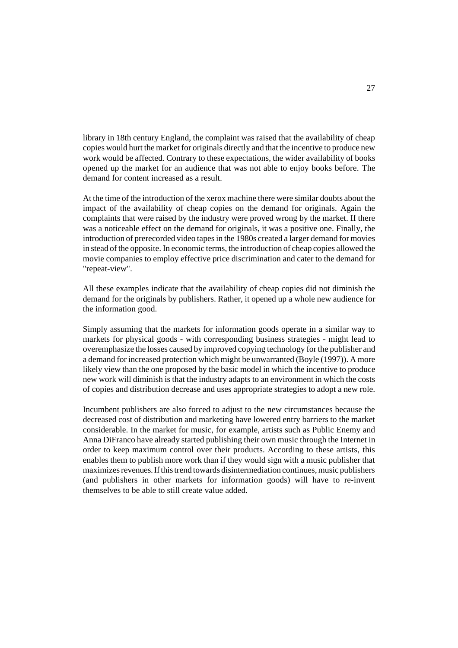library in 18th century England, the complaint was raised that the availability of cheap copies would hurt the market for originals directly and that the incentive to produce new work would be affected. Contrary to these expectations, the wider availability of books opened up the market for an audience that was not able to enjoy books before. The demand for content increased as a result.

At the time of the introduction of the xerox machine there were similar doubts about the impact of the availability of cheap copies on the demand for originals. Again the complaints that were raised by the industry were proved wrong by the market. If there was a noticeable effect on the demand for originals, it was a positive one. Finally, the introduction of prerecorded video tapes in the 1980s created a larger demand for movies in stead of the opposite. In economic terms, the introduction of cheap copies allowed the movie companies to employ effective price discrimination and cater to the demand for "repeat-view".

All these examples indicate that the availability of cheap copies did not diminish the demand for the originals by publishers. Rather, it opened up a whole new audience for the information good.

Simply assuming that the markets for information goods operate in a similar way to markets for physical goods - with corresponding business strategies - might lead to overemphasize the losses caused by improved copying technology for the publisher and a demand for increased protection which might be unwarranted (Boyle (1997)). A more likely view than the one proposed by the basic model in which the incentive to produce new work will diminish is that the industry adapts to an environment in which the costs of copies and distribution decrease and uses appropriate strategies to adopt a new role.

Incumbent publishers are also forced to adjust to the new circumstances because the decreased cost of distribution and marketing have lowered entry barriers to the market considerable. In the market for music, for example, artists such as Public Enemy and Anna DiFranco have already started publishing their own music through the Internet in order to keep maximum control over their products. According to these artists, this enables them to publish more work than if they would sign with a music publisher that maximizes revenues. If this trend towards disintermediation continues, music publishers (and publishers in other markets for information goods) will have to re-invent themselves to be able to still create value added.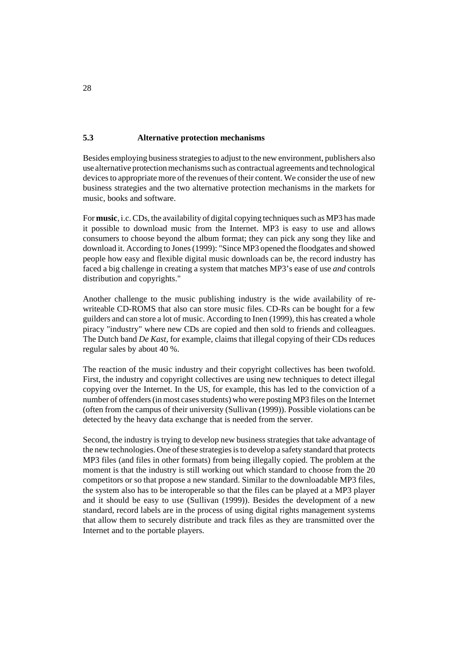## **5.3 Alternative protection mechanisms**

Besides employing business strategies to adjust to the new environment, publishers also use alternative protection mechanisms such as contractual agreements and technological devices to appropriate more of the revenues of their content. We consider the use of new business strategies and the two alternative protection mechanisms in the markets for music, books and software.

For **music**, i.c. CDs, the availability of digital copying techniques such as MP3 has made it possible to download music from the Internet. MP3 is easy to use and allows consumers to choose beyond the album format; they can pick any song they like and download it. According to Jones (1999): "Since MP3 opened the floodgates and showed people how easy and flexible digital music downloads can be, the record industry has faced a big challenge in creating a system that matches MP3's ease of use *and* controls distribution and copyrights."

Another challenge to the music publishing industry is the wide availability of rewriteable CD-ROMS that also can store music files. CD-Rs can be bought for a few guilders and can store a lot of music. According to Inen (1999), this has created a whole piracy "industry" where new CDs are copied and then sold to friends and colleagues. The Dutch band *De Kast*, for example, claims that illegal copying of their CDs reduces regular sales by about 40 %.

The reaction of the music industry and their copyright collectives has been twofold. First, the industry and copyright collectives are using new techniques to detect illegal copying over the Internet. In the US, for example, this has led to the conviction of a number of offenders (in most cases students) who were posting MP3 files on the Internet (often from the campus of their university (Sullivan (1999)). Possible violations can be detected by the heavy data exchange that is needed from the server.

Second, the industry is trying to develop new business strategies that take advantage of the new technologies. One of these strategies is to develop a safety standard that protects MP3 files (and files in other formats) from being illegally copied. The problem at the moment is that the industry is still working out which standard to choose from the 20 competitors or so that propose a new standard. Similar to the downloadable MP3 files, the system also has to be interoperable so that the files can be played at a MP3 player and it should be easy to use (Sullivan (1999)). Besides the development of a new standard, record labels are in the process of using digital rights management systems that allow them to securely distribute and track files as they are transmitted over the Internet and to the portable players.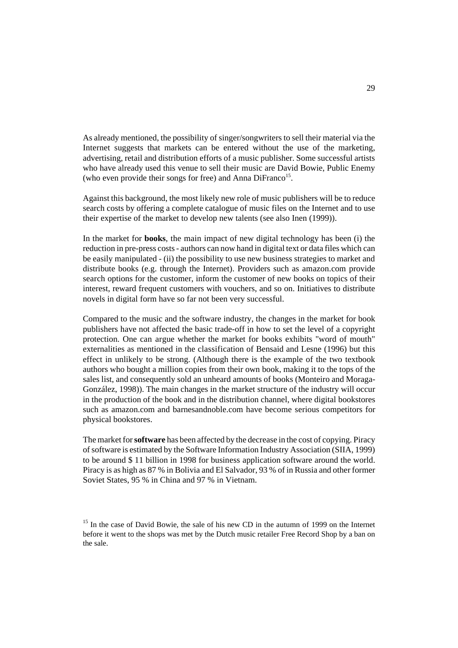As already mentioned, the possibility of singer/songwriters to sell their material via the Internet suggests that markets can be entered without the use of the marketing, advertising, retail and distribution efforts of a music publisher. Some successful artists who have already used this venue to sell their music are David Bowie, Public Enemy (who even provide their songs for free) and Anna DiFranco<sup>15</sup>.

Against this background, the most likely new role of music publishers will be to reduce search costs by offering a complete catalogue of music files on the Internet and to use their expertise of the market to develop new talents (see also Inen (1999)).

In the market for **books**, the main impact of new digital technology has been (i) the reduction in pre-press costs - authors can now hand in digital text or data files which can be easily manipulated - (ii) the possibility to use new business strategies to market and distribute books (e.g. through the Internet). Providers such as amazon.com provide search options for the customer, inform the customer of new books on topics of their interest, reward frequent customers with vouchers, and so on. Initiatives to distribute novels in digital form have so far not been very successful.

Compared to the music and the software industry, the changes in the market for book publishers have not affected the basic trade-off in how to set the level of a copyright protection. One can argue whether the market for books exhibits "word of mouth" externalities as mentioned in the classification of Bensaid and Lesne (1996) but this effect in unlikely to be strong. (Although there is the example of the two textbook authors who bought a million copies from their own book, making it to the tops of the sales list, and consequently sold an unheard amounts of books (Monteiro and Moraga-González, 1998)). The main changes in the market structure of the industry will occur in the production of the book and in the distribution channel, where digital bookstores such as amazon.com and barnesandnoble.com have become serious competitors for physical bookstores.

The market for **software** has been affected by the decrease in the cost of copying. Piracy of software is estimated by the Software Information Industry Association (SIIA, 1999) to be around \$ 11 billion in 1998 for business application software around the world. Piracy is as high as 87 % in Bolivia and El Salvador, 93 % of in Russia and other former Soviet States, 95 % in China and 97 % in Vietnam.

<sup>&</sup>lt;sup>15</sup> In the case of David Bowie, the sale of his new CD in the autumn of 1999 on the Internet before it went to the shops was met by the Dutch music retailer Free Record Shop by a ban on the sale.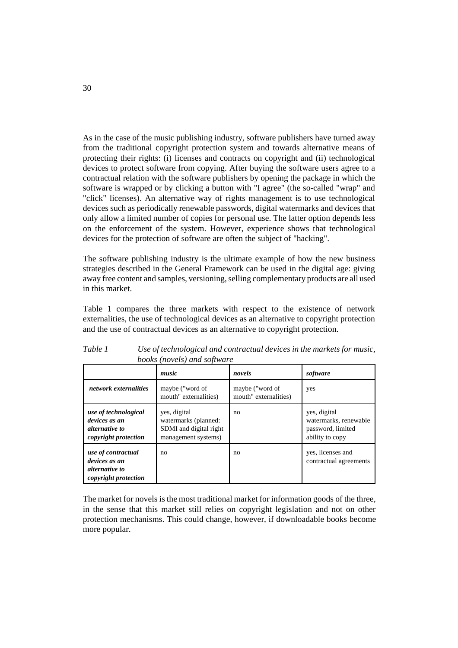As in the case of the music publishing industry, software publishers have turned away from the traditional copyright protection system and towards alternative means of protecting their rights: (i) licenses and contracts on copyright and (ii) technological devices to protect software from copying. After buying the software users agree to a contractual relation with the software publishers by opening the package in which the software is wrapped or by clicking a button with "I agree" (the so-called "wrap" and "click" licenses). An alternative way of rights management is to use technological devices such as periodically renewable passwords, digital watermarks and devices that only allow a limited number of copies for personal use. The latter option depends less on the enforcement of the system. However, experience shows that technological devices for the protection of software are often the subject of "hacking".

The software publishing industry is the ultimate example of how the new business strategies described in the General Framework can be used in the digital age: giving away free content and samples, versioning, selling complementary products are all used in this market.

Table 1 compares the three markets with respect to the existence of network externalities, the use of technological devices as an alternative to copyright protection and the use of contractual devices as an alternative to copyright protection.

|                                                                                        | <i>books</i> ( <i>novels</i> ) and <i>software</i><br>music                           | novels                                   | software                                                                      |
|----------------------------------------------------------------------------------------|---------------------------------------------------------------------------------------|------------------------------------------|-------------------------------------------------------------------------------|
| network externalities                                                                  | maybe ("word of<br>mouth" externalities)                                              | maybe ("word of<br>mouth" externalities) | yes                                                                           |
| use of technological<br>devices as an<br><i>alternative to</i><br>copyright protection | yes, digital<br>watermarks (planned:<br>SDMI and digital right<br>management systems) | no                                       | yes, digital<br>watermarks, renewable<br>password, limited<br>ability to copy |
| use of contractual<br>devices as an<br>alternative to<br>copyright protection          | no                                                                                    | no                                       | yes, licenses and<br>contractual agreements                                   |

*Table 1 Use of technological and contractual devices in the markets for music, books (novels) and software*

The market for novels is the most traditional market for information goods of the three, in the sense that this market still relies on copyright legislation and not on other protection mechanisms. This could change, however, if downloadable books become more popular.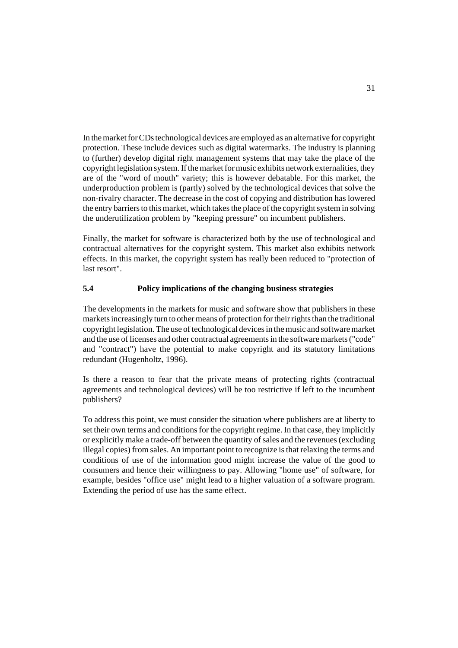In the market for CDs technological devices are employed as an alternative for copyright protection. These include devices such as digital watermarks. The industry is planning to (further) develop digital right management systems that may take the place of the copyright legislation system. If the market for music exhibits network externalities, they are of the "word of mouth" variety; this is however debatable. For this market, the underproduction problem is (partly) solved by the technological devices that solve the non-rivalry character. The decrease in the cost of copying and distribution has lowered the entry barriers to this market, which takes the place of the copyright system in solving the underutilization problem by "keeping pressure" on incumbent publishers.

Finally, the market for software is characterized both by the use of technological and contractual alternatives for the copyright system. This market also exhibits network effects. In this market, the copyright system has really been reduced to "protection of last resort".

# **5.4 Policy implications of the changing business strategies**

The developments in the markets for music and software show that publishers in these markets increasingly turn to other means of protection for their rights than the traditional copyright legislation. The use of technological devices in the music and software market and the use of licenses and other contractual agreements in the software markets ("code" and "contract") have the potential to make copyright and its statutory limitations redundant (Hugenholtz, 1996).

Is there a reason to fear that the private means of protecting rights (contractual agreements and technological devices) will be too restrictive if left to the incumbent publishers?

To address this point, we must consider the situation where publishers are at liberty to set their own terms and conditions for the copyright regime. In that case, they implicitly or explicitly make a trade-off between the quantity of sales and the revenues (excluding illegal copies) from sales. An important point to recognize is that relaxing the terms and conditions of use of the information good might increase the value of the good to consumers and hence their willingness to pay. Allowing "home use" of software, for example, besides "office use" might lead to a higher valuation of a software program. Extending the period of use has the same effect.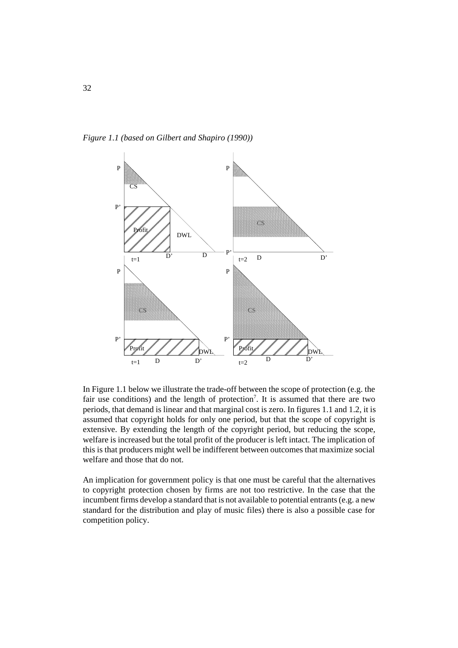*Figure 1.1 (based on Gilbert and Shapiro (1990))*



In Figure 1.1 below we illustrate the trade-off between the scope of protection (e.g. the fair use conditions) and the length of protection<sup>7</sup>. It is assumed that there are two periods, that demand is linear and that marginal cost is zero. In figures 1.1 and 1.2, it is assumed that copyright holds for only one period, but that the scope of copyright is extensive. By extending the length of the copyright period, but reducing the scope, welfare is increased but the total profit of the producer is left intact. The implication of this is that producers might well be indifferent between outcomes that maximize social welfare and those that do not.

An implication for government policy is that one must be careful that the alternatives to copyright protection chosen by firms are not too restrictive. In the case that the incumbent firms develop a standard that is not available to potential entrants (e.g. a new standard for the distribution and play of music files) there is also a possible case for competition policy.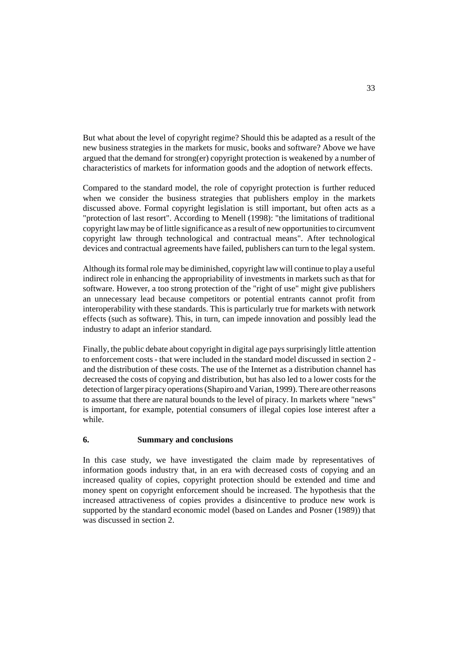But what about the level of copyright regime? Should this be adapted as a result of the new business strategies in the markets for music, books and software? Above we have argued that the demand for strong(er) copyright protection is weakened by a number of characteristics of markets for information goods and the adoption of network effects.

Compared to the standard model, the role of copyright protection is further reduced when we consider the business strategies that publishers employ in the markets discussed above. Formal copyright legislation is still important, but often acts as a "protection of last resort". According to Menell (1998): "the limitations of traditional copyright law may be of little significance as a result of new opportunities to circumvent copyright law through technological and contractual means". After technological devices and contractual agreements have failed, publishers can turn to the legal system.

Although its formal role may be diminished, copyright law will continue to play a useful indirect role in enhancing the appropriability of investments in markets such as that for software. However, a too strong protection of the "right of use" might give publishers an unnecessary lead because competitors or potential entrants cannot profit from interoperability with these standards. This is particularly true for markets with network effects (such as software). This, in turn, can impede innovation and possibly lead the industry to adapt an inferior standard.

Finally, the public debate about copyright in digital age pays surprisingly little attention to enforcement costs - that were included in the standard model discussed in section 2 and the distribution of these costs. The use of the Internet as a distribution channel has decreased the costs of copying and distribution, but has also led to a lower costs for the detection of larger piracy operations (Shapiro and Varian, 1999). There are other reasons to assume that there are natural bounds to the level of piracy. In markets where "news" is important, for example, potential consumers of illegal copies lose interest after a while.

# **6. Summary and conclusions**

In this case study, we have investigated the claim made by representatives of information goods industry that, in an era with decreased costs of copying and an increased quality of copies, copyright protection should be extended and time and money spent on copyright enforcement should be increased. The hypothesis that the increased attractiveness of copies provides a disincentive to produce new work is supported by the standard economic model (based on Landes and Posner (1989)) that was discussed in section 2.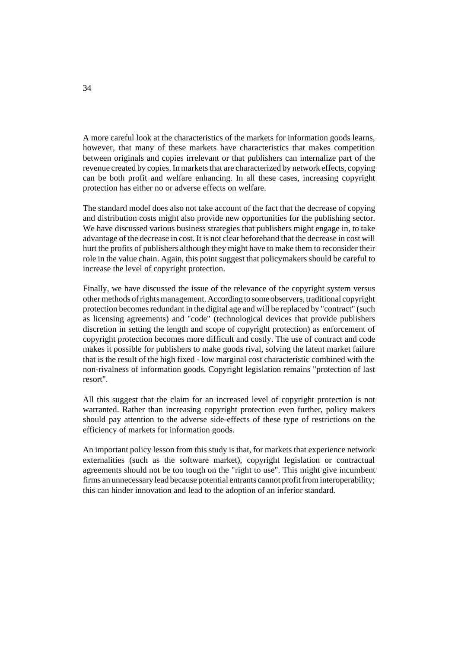A more careful look at the characteristics of the markets for information goods learns, however, that many of these markets have characteristics that makes competition between originals and copies irrelevant or that publishers can internalize part of the revenue created by copies. In markets that are characterized by network effects, copying can be both profit and welfare enhancing. In all these cases, increasing copyright protection has either no or adverse effects on welfare.

The standard model does also not take account of the fact that the decrease of copying and distribution costs might also provide new opportunities for the publishing sector. We have discussed various business strategies that publishers might engage in, to take advantage of the decrease in cost. It is not clear beforehand that the decrease in cost will hurt the profits of publishers although they might have to make them to reconsider their role in the value chain. Again, this point suggest that policymakers should be careful to increase the level of copyright protection.

Finally, we have discussed the issue of the relevance of the copyright system versus other methods of rights management. According to some observers, traditional copyright protection becomes redundant in the digital age and will be replaced by "contract" (such as licensing agreements) and "code" (technological devices that provide publishers discretion in setting the length and scope of copyright protection) as enforcement of copyright protection becomes more difficult and costly. The use of contract and code makes it possible for publishers to make goods rival, solving the latent market failure that is the result of the high fixed - low marginal cost characteristic combined with the non-rivalness of information goods. Copyright legislation remains "protection of last resort".

All this suggest that the claim for an increased level of copyright protection is not warranted. Rather than increasing copyright protection even further, policy makers should pay attention to the adverse side-effects of these type of restrictions on the efficiency of markets for information goods.

An important policy lesson from this study is that, for markets that experience network externalities (such as the software market), copyright legislation or contractual agreements should not be too tough on the "right to use". This might give incumbent firms an unnecessary lead because potential entrants cannot profit from interoperability; this can hinder innovation and lead to the adoption of an inferior standard.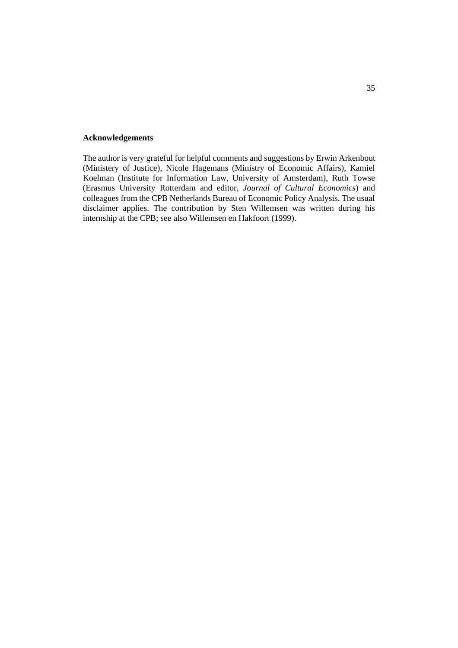#### **Acknowledgements**

The author is very grateful for helpful comments and suggestions by Erwin Arkenbout (Ministery of Justice), Nicole Hagemans (Ministry of Economic Affairs), Kamiel Koelman (Institute for Information Law, University of Amsterdam), Ruth Towse (Erasmus University Rotterdam and editor, *Journal of Cultural Economics*) and colleagues from the CPB Netherlands Bureau of Economic Policy Analysis. The usual disclaimer applies. The contribution by Sten Willemsen was written during his internship at the CPB; see also Willemsen en Hakfoort (1999).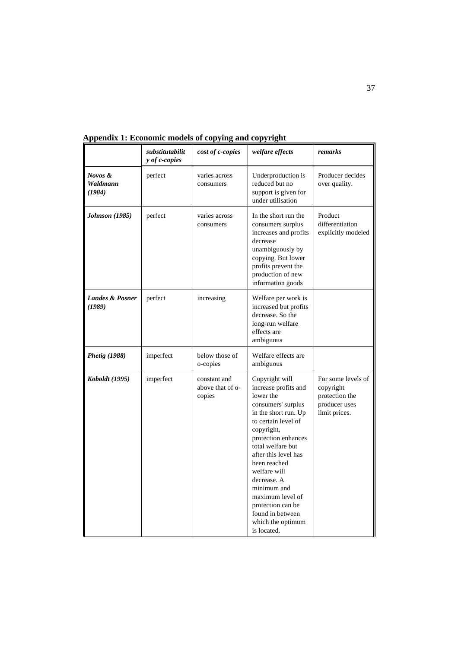|                                      | substitutabilit<br>y of c-copies | cost of c-copies                           | welfare effects                                                                                                                                                                                                                                                                                                                                                           | remarks                                                                             |
|--------------------------------------|----------------------------------|--------------------------------------------|---------------------------------------------------------------------------------------------------------------------------------------------------------------------------------------------------------------------------------------------------------------------------------------------------------------------------------------------------------------------------|-------------------------------------------------------------------------------------|
| Novos &<br>Waldmann<br>(1984)        | perfect                          | varies across<br>consumers                 | Underproduction is<br>reduced but no<br>support is given for<br>under utilisation                                                                                                                                                                                                                                                                                         | Producer decides<br>over quality.                                                   |
| <b>Johnson (1985)</b>                | perfect                          | varies across<br>consumers                 | In the short run the<br>consumers surplus<br>increases and profits<br>decrease<br>unambiguously by<br>copying. But lower<br>profits prevent the<br>production of new<br>information goods                                                                                                                                                                                 | Product<br>differentiation<br>explicitly modeled                                    |
| <b>Landes &amp; Posner</b><br>(1989) | perfect                          | increasing                                 | Welfare per work is<br>increased but profits<br>decrease. So the<br>long-run welfare<br>effects are<br>ambiguous                                                                                                                                                                                                                                                          |                                                                                     |
| <i>Phetig (1988)</i>                 | imperfect                        | below those of<br>o-copies                 | Welfare effects are<br>ambiguous                                                                                                                                                                                                                                                                                                                                          |                                                                                     |
| Koboldt (1995)                       | imperfect                        | constant and<br>above that of o-<br>copies | Copyright will<br>increase profits and<br>lower the<br>consumers' surplus<br>in the short run. Up<br>to certain level of<br>copyright,<br>protection enhances<br>total welfare but<br>after this level has<br>been reached<br>welfare will<br>decrease. A<br>minimum and<br>maximum level of<br>protection can be<br>found in between<br>which the optimum<br>is located. | For some levels of<br>copyright<br>protection the<br>producer uses<br>limit prices. |

**Appendix 1: Economic models of copying and copyright**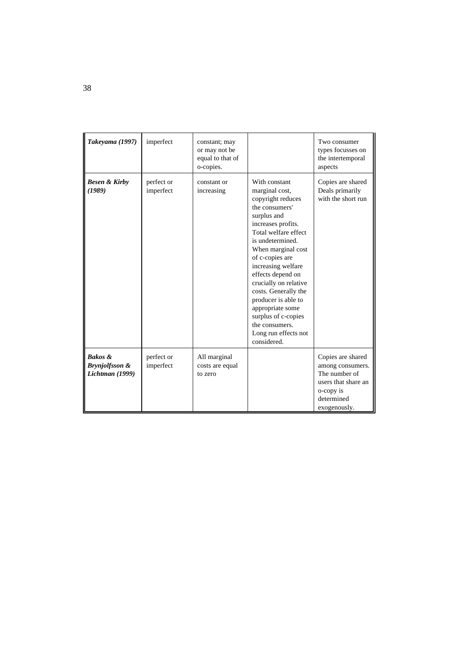| Takeyama (1997)                                                    | imperfect               | constant; may<br>or may not be<br>equal to that of<br>o-copies. |                                                                                                                                                                                                                                                                                                                                                                                                                         | Two consumer<br>types focusses on<br>the intertemporal<br>aspects                                                        |
|--------------------------------------------------------------------|-------------------------|-----------------------------------------------------------------|-------------------------------------------------------------------------------------------------------------------------------------------------------------------------------------------------------------------------------------------------------------------------------------------------------------------------------------------------------------------------------------------------------------------------|--------------------------------------------------------------------------------------------------------------------------|
| <b>Besen &amp; Kirby</b><br>(1989)                                 | perfect or<br>imperfect | constant or<br>increasing                                       | With constant<br>marginal cost,<br>copyright reduces<br>the consumers'<br>surplus and<br>increases profits.<br>Total welfare effect<br>is undetermined.<br>When marginal cost<br>of c-copies are<br>increasing welfare<br>effects depend on<br>crucially on relative<br>costs. Generally the<br>producer is able to<br>appropriate some<br>surplus of c-copies<br>the consumers.<br>Long run effects not<br>considered. | Copies are shared<br>Deals primarily<br>with the short run                                                               |
| <b>Bakos &amp;</b><br><b>Brynjolfsson &amp;</b><br>Lichtman (1999) | perfect or<br>imperfect | All marginal<br>costs are equal<br>to zero                      |                                                                                                                                                                                                                                                                                                                                                                                                                         | Copies are shared<br>among consumers.<br>The number of<br>users that share an<br>o-copy is<br>determined<br>exogenously. |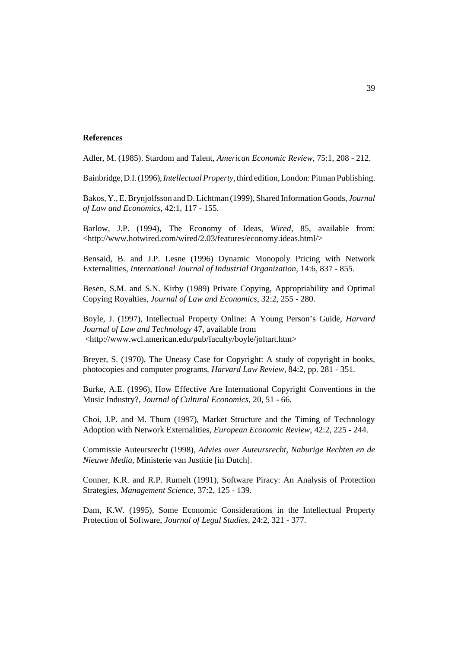#### **References**

Adler, M. (1985). Stardom and Talent, *American Economic Review*, 75:1, 208 - 212.

Bainbridge, D.I. (1996), *Intellectual Property*, third edition, London: Pitman Publishing.

Bakos, Y., E. Brynjolfsson and D. Lichtman (1999), Shared Information Goods, *Journal of Law and Economics*, 42:1, 117 - 155.

Barlow, J.P. (1994), The Economy of Ideas, *Wired*, 85, available from: <http://www.hotwired.com/wired/2.03/features/economy.ideas.html/>

Bensaid, B. and J.P. Lesne (1996) Dynamic Monopoly Pricing with Network Externalities, *International Journal of Industrial Organization,* 14:6, 837 - 855.

Besen, S.M. and S.N. Kirby (1989) Private Copying, Appropriability and Optimal Copying Royalties, *Journal of Law and Economics*, 32:2, 255 - 280.

Boyle, J. (1997), Intellectual Property Online: A Young Person's Guide, *Harvard Journal of Law and Technology* 47, available from <http://www.wcl.american.edu/pub/faculty/boyle/joltart.htm>

Breyer, S. (1970), The Uneasy Case for Copyright: A study of copyright in books, photocopies and computer programs, *Harvard Law Review*, 84:2, pp. 281 - 351.

Burke, A.E. (1996), How Effective Are International Copyright Conventions in the Music Industry?, *Journal of Cultural Economics*, 20, 51 - 66.

Choi, J.P. and M. Thum (1997), Market Structure and the Timing of Technology Adoption with Network Externalities, *European Economic Review*, 42:2, 225 - 244.

Commissie Auteursrecht (1998), *Advies over Auteursrecht, Naburige Rechten en de Nieuwe Media*, Ministerie van Justitie [in Dutch].

Conner, K.R. and R.P. Rumelt (1991), Software Piracy: An Analysis of Protection Strategies, *Management Science*, 37:2, 125 - 139.

Dam, K.W. (1995), Some Economic Considerations in the Intellectual Property Protection of Software, *Journal of Legal Studies*, 24:2, 321 - 377.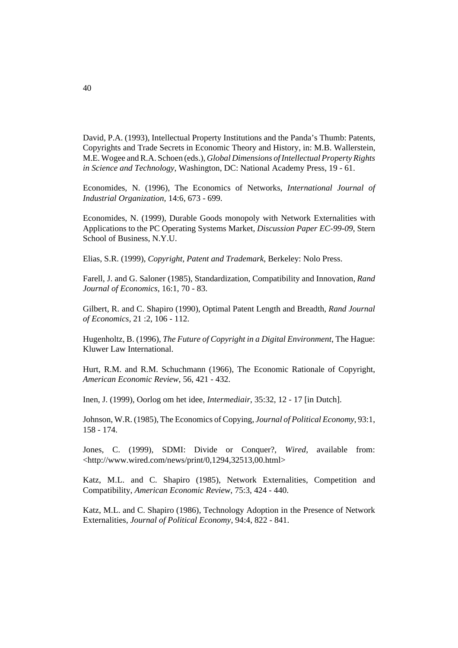David, P.A. (1993), Intellectual Property Institutions and the Panda's Thumb: Patents, Copyrights and Trade Secrets in Economic Theory and History, in: M.B. Wallerstein, M.E. Wogee and R.A. Schoen (eds.), *Global Dimensions of Intellectual Property Rights in Science and Technology*, Washington, DC: National Academy Press, 19 - 61.

Economides, N. (1996), The Economics of Networks, *International Journal of Industrial Organization,* 14:6, 673 - 699.

Economides, N. (1999), Durable Goods monopoly with Network Externalities with Applications to the PC Operating Systems Market, *Discussion Paper EC-99-09*, Stern School of Business, N.Y.U.

Elias, S.R. (1999), *Copyright, Patent and Trademark*, Berkeley: Nolo Press.

Farell, J. and G. Saloner (1985), Standardization, Compatibility and Innovation, *Rand Journal of Economics*, 16:1, 70 - 83.

Gilbert, R. and C. Shapiro (1990), Optimal Patent Length and Breadth, *Rand Journal of Economics,* 21 :2, 106 - 112.

Hugenholtz, B. (1996), *The Future of Copyright in a Digital Environment*, The Hague: Kluwer Law International.

Hurt, R.M. and R.M. Schuchmann (1966), The Economic Rationale of Copyright, *American Economic Review*, 56, 421 - 432.

Inen, J. (1999), Oorlog om het idee, *Intermediair*, 35:32, 12 - 17 [in Dutch].

Johnson, W.R. (1985), The Economics of Copying, *Journal of Political Economy*, 93:1, 158 - 174.

Jones, C. (1999), SDMI: Divide or Conquer?, *Wired*, available from:  $\langle$ http://www.wired.com/news/print/0,1294,32513,00.html>

Katz, M.L. and C. Shapiro (1985), Network Externalities, Competition and Compatibility, *American Economic Review*, 75:3, 424 - 440.

Katz, M.L. and C. Shapiro (1986), Technology Adoption in the Presence of Network Externalities, *Journal of Political Economy*, 94:4, 822 - 841.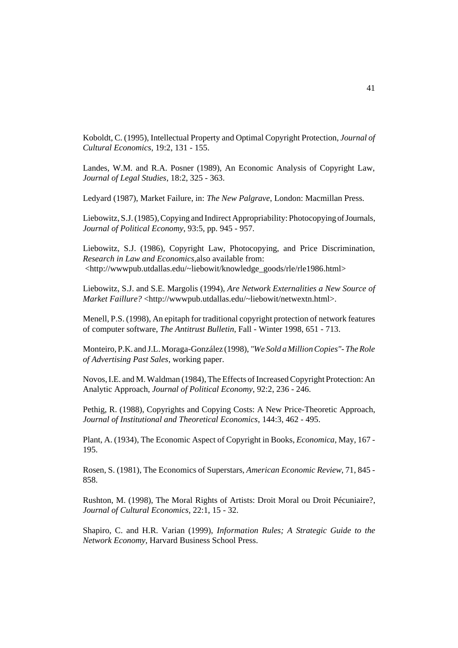Koboldt, C. (1995), Intellectual Property and Optimal Copyright Protection, *Journal of Cultural Economics*, 19:2, 131 - 155.

Landes, W.M. and R.A. Posner (1989), An Economic Analysis of Copyright Law, *Journal of Legal Studies*, 18:2, 325 - 363.

Ledyard (1987), Market Failure, in: *The New Palgrave*, London: Macmillan Press.

Liebowitz, S.J. (1985), Copying and Indirect Appropriability: Photocopying of Journals, *Journal of Political Economy*, 93:5, pp. 945 - 957.

Liebowitz, S.J. (1986), Copyright Law, Photocopying, and Price Discrimination, *Research in Law and Economics*,also available from: <http://wwwpub.utdallas.edu/~liebowit/knowledge\_goods/rle/rle1986.html>

Liebowitz, S.J. and S.E. Margolis (1994), *Are Network Externalities a New Source of Market Faillure?* <http://wwwpub.utdallas.edu/~liebowit/netwextn.html>.

Menell, P.S. (1998), An epitaph for traditional copyright protection of network features of computer software, *The Antitrust Bulletin*, Fall - Winter 1998, 651 - 713.

Monteiro, P.K. and J.L. Moraga-González (1998), *"We Sold a Million Copies"- The Role of Advertising Past Sales*, working paper.

Novos, I.E. and M. Waldman (1984), The Effects of Increased Copyright Protection: An Analytic Approach, *Journal of Political Economy*, 92:2, 236 - 246.

Pethig, R. (1988), Copyrights and Copying Costs: A New Price-Theoretic Approach, *Journal of Institutional and Theoretical Economics*, 144:3, 462 - 495.

Plant, A. (1934), The Economic Aspect of Copyright in Books, *Economica*, May, 167 - 195.

Rosen, S. (1981), The Economics of Superstars, *American Economic Review*, 71, 845 - 858.

Rushton, M. (1998), The Moral Rights of Artists: Droit Moral ou Droit Pécuniaire?, *Journal of Cultural Economics,* 22:1, 15 - 32.

Shapiro, C. and H.R. Varian (1999), *Information Rules; A Strategic Guide to the Network Economy*, Harvard Business School Press.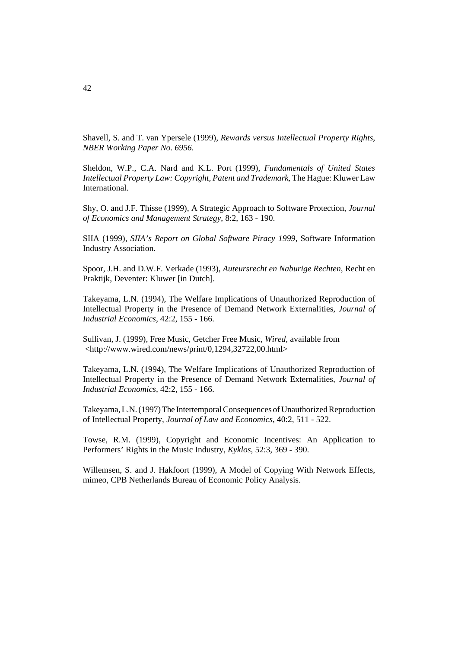Shavell, S. and T. van Ypersele (1999), *Rewards versus Intellectual Property Rights*, *NBER Working Paper No. 6956*.

Sheldon, W.P., C.A. Nard and K.L. Port (1999), *Fundamentals of United States Intellectual Property Law: Copyright, Patent and Trademark*, The Hague: Kluwer Law International.

Shy, O. and J.F. Thisse (1999), A Strategic Approach to Software Protection, *Journal of Economics and Management Strategy*, 8:2, 163 - 190.

SIIA (1999), *SIIA's Report on Global Software Piracy 1999*, Software Information Industry Association.

Spoor, J.H. and D.W.F. Verkade (1993), *Auteursrecht en Naburige Rechten*, Recht en Praktijk, Deventer: Kluwer [in Dutch].

Takeyama, L.N. (1994), The Welfare Implications of Unauthorized Reproduction of Intellectual Property in the Presence of Demand Network Externalities, *Journal of Industrial Economics,* 42:2, 155 - 166.

Sullivan, J. (1999), Free Music, Getcher Free Music, *Wired*, available from <http://www.wired.com/news/print/0,1294,32722,00.html>

Takeyama, L.N. (1994), The Welfare Implications of Unauthorized Reproduction of Intellectual Property in the Presence of Demand Network Externalities, *Journal of Industrial Economics,* 42:2, 155 - 166.

Takeyama, L.N. (1997) The Intertemporal Consequences of Unauthorized Reproduction of Intellectual Property, *Journal of Law and Economics*, 40:2, 511 - 522.

Towse, R.M. (1999), Copyright and Economic Incentives: An Application to Performers' Rights in the Music Industry, *Kyklos*, 52:3, 369 - 390.

Willemsen, S. and J. Hakfoort (1999), A Model of Copying With Network Effects, mimeo, CPB Netherlands Bureau of Economic Policy Analysis.